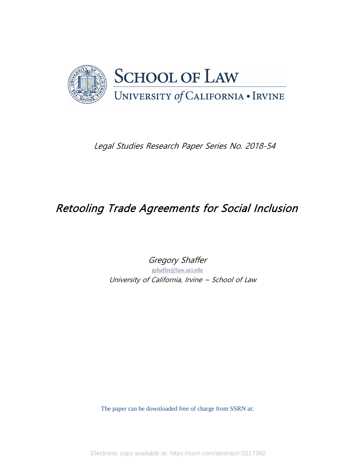

Legal Studies Research Paper Series No. 2018-54

# Retooling Trade Agreements for Social Inclusion

Gregory Shaffer

[gshaffer@law.uci.edu](mailto:gshaffer@law.uci.edu)  University of California, Irvine  $\sim$  School of Law

The paper can be downloaded free of charge from SSRN at:

Electronic copy available at: https://ssrn.com/abstract=3217392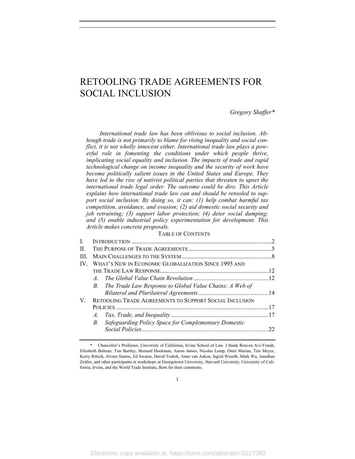# RETOOLING TRADE AGREEMENTS FOR SOCIAL INCLUSION

*Gregory Shaffer\**

*International trade law has been oblivious to social inclusion. Although trade is not primarily to blame for rising inequality and social conflict, it is not wholly innocent either. International trade law plays a powerful role in fomenting the conditions under which people thrive, implicating social equality and inclusion. The impacts of trade and rapid technological change on income inequality and the security of work have become politically salient issues in the United States and Europe. They have led to the rise of nativist political parties that threaten to upset the international trade legal order. The outcome could be dire. This Article explains how international trade law can and should be retooled to support social inclusion. By doing so, it can: (1) help combat harmful tax competition, avoidance, and evasion; (2) aid domestic social security and job retraining; (3) support labor protection; (4) deter social dumping; and (5) enable industrial policy experimentation for development. This Article makes concrete proposals.*

#### TABLE OF CONTENTS

| L. |                                                               |    |
|----|---------------------------------------------------------------|----|
| H. |                                                               |    |
| Ш  |                                                               |    |
| IV | WHAT'S NEW IN ECONOMIC GLOBALIZATION SINCE 1995 AND           |    |
|    |                                                               |    |
|    | $A_{-}$                                                       |    |
|    | B. The Trade Law Response to Global Value Chains: A Web of    |    |
|    |                                                               |    |
| V. | <b>RETOOLING TRADE AGREEMENTS TO SUPPORT SOCIAL INCLUSION</b> |    |
|    |                                                               |    |
|    | A.                                                            |    |
|    | Safeguarding Policy Space for Complementary Domestic<br>B.    |    |
|    |                                                               | 22 |
|    |                                                               |    |

<sup>\*</sup> Chancellor's Professor, University of California, Irvine School of Law. I thank Reuven Avi-Yonah, Elizabeth Baltzan, Tim Bartley, Bernard Hoekman, Aaron James, Nicolas Lamp, Omri Marian, Tim Meyer, Kerry Rittich, Alvaro Santos, Ed Swaine, David Trubek, Anne van Aaken, Ingrid Weurth, Mark Wu, Jonathan Zeitlin, and other participants at workshops at Georgetown University, Harvard University, University of California, Irvine, and the World Trade Institute, Bern for their comments.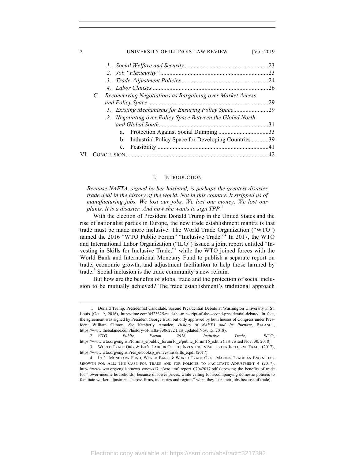| $\mathcal{D}_{1}^{(1)}$ | UNIVERSITY OF ILLINOIS LAW REVIEW                                     | [Vol. 2019] |
|-------------------------|-----------------------------------------------------------------------|-------------|
|                         |                                                                       |             |
|                         |                                                                       |             |
|                         |                                                                       |             |
|                         |                                                                       | .26         |
|                         | Reconceiving Negotiations as Bargaining over Market Access<br>C.      |             |
|                         |                                                                       | 29          |
|                         | 1. Existing Mechanisms for Ensuring Policy Space29                    |             |
|                         | 2. Negotiating over Policy Space Between the Global North             |             |
|                         | and Global South.                                                     | . 31        |
|                         | a.                                                                    |             |
|                         | Industrial Policy Space for Developing Countries 39<br>$\mathbf{b}$ . |             |
|                         | $c_{-}$                                                               |             |
|                         |                                                                       | 42          |

#### I. INTRODUCTION

*Because NAFTA, signed by her husband, is perhaps the greatest disaster trade deal in the history of the world. Not in this country. It stripped us of manufacturing jobs. We lost our jobs. We lost our money. We lost our plants. It is a disaster. And now she wants to sign TPP.*<sup>1</sup>

With the election of President Donald Trump in the United States and the rise of nationalist parties in Europe, the new trade establishment mantra is that trade must be made more inclusive. The World Trade Organization ("WTO") named the 2016 "WTO Public Forum" "Inclusive Trade."<sup>2</sup> In 2017, the WTO and International Labor Organization ("ILO") issued a joint report entitled "Investing in Skills for Inclusive Trade,"<sup>3</sup> while the WTO joined forces with the World Bank and International Monetary Fund to publish a separate report on trade, economic growth, and adjustment facilitation to help those harmed by trade.<sup>4</sup> Social inclusion is the trade community's new refrain.

But how are the benefits of global trade and the protection of social inclusion to be mutually achieved? The trade establishment's traditional approach

<sup>1.</sup> Donald Trump, Presidential Candidate, Second Presidential Debate at Washington University in St. Louis (Oct. 9, 2016), http://time.com/4523325/read-the-transcript-of-the-second-presidential-debate/. In fact, the agreement was signed by President George Bush but only approved by both houses of Congress under President William Clinton. *See* Kimberly Amadeo, *History of NAFTA and Its Purpose*, BALANCE, https://www.thebalance.com/history-of-nafta-3306272 (last updated Nov. 15, 2018).

<sup>2.</sup> *WTO Public Forum 2016 "Inclusive Trade*,*"* WTO, https://www.wto.org/english/forums\_e/public\_forum16\_e/public\_forum16\_e.htm (last visited Nov. 30, 2018). 3. WORLD TRADE ORG. & INT'L LABOUR OFFICE, INVESTING IN SKILLS FOR INCLUSIVE TRADE (2017), https://www.wto.org/english/res\_e/booksp\_e/investinsskills\_e.pdf (2017).

<sup>4.</sup> INT'L MONETARY FUND, WORLD BANK & WORLD TRADE ORG., MAKING TRADE AN ENGINE FOR GROWTH FOR ALL: THE CASE FOR TRADE AND FOR POLICIES TO FACILITATE ADJUSTMENT 4 (2017), https://www.wto.org/english/news\_e/news17\_e/wto\_imf\_report\_07042017.pdf (stressing the benefits of trade for "lower-income households" because of lower prices, while calling for accompanying domestic policies to facilitate worker adjustment "across firms, industries and regions" when they lose their jobs because of trade).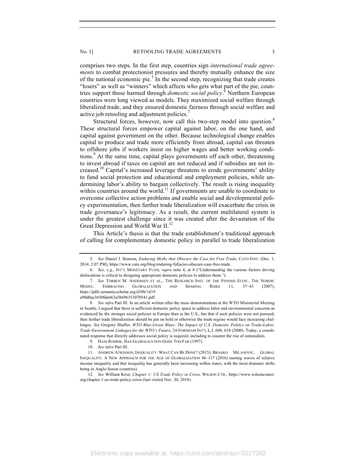comprises two steps. In the first step, countries sign *international trade agreements* to combat protectionist pressures and thereby mutually enhance the size of the national economic pie. $5$  In the second step, recognizing that trade creates "losers" as well as "winners" which affects who gets what part of the pie, countries support those harmed through *domestic social policy*. <sup>6</sup> Northern European countries were long viewed as models. They maximized social welfare through liberalized trade, and they ensured domestic fairness through social welfare and active job retooling and adjustment policies.<sup>7</sup>

Structural forces, however, now call this two-step model into question.<sup>8</sup> These structural forces empower capital against labor, on the one hand, and capital against government on the other. Because technological change enables capital to produce and trade more efficiently from abroad, capital can threaten to offshore jobs if workers insist on higher wages and better working conditions.<sup>9</sup> At the same time, capital plays governments off each other, threatening to invest abroad if taxes on capital are not reduced and if subsidies are not increased.<sup>10</sup> Capital's increased leverage threatens to erode governments' ability to fund social protection and educational and employment policies, while undermining labor's ability to bargain collectively. The result is rising inequality within countries around the world.<sup>11</sup> If governments are unable to coordinate to overcome collective action problems and enable social and developmental policy experimentation, then further trade liberalization will exacerbate the crisis in trade governance's legitimacy. As a result, the current multilateral system is under the greatest challenge since it was created after the devastation of the Great Depression and World War II.<sup>12</sup>

This Article's thesis is that the trade establishment's traditional approach of calling for complementary domestic policy in parallel to trade liberalization

a90d0ae3650fda663a5b696353070541.pdf.

<sup>5.</sup> *See* Daniel J. Ikenson, *Enduring Myths that Obscure the Case for Free Trade*, CATO INST. (Dec. 1, 2014, 2:07 PM), https://www.cato.org/blog/enduring-fallacies-obscure-case-free-trade.

<sup>6.</sup> *See, e.g.*, INT'L MONETARY FUND, *supra* note 4, at 4 ("Understanding the various factors driving dislocations is critical to designing appropriate domestic policies to address them.").

<sup>7.</sup> *See* TORBEN M. ANDERSEN ET AL., THE RESEARCH INST. OF THE FINNISH ECON., THE NORDIC MODEL: EMBRACING GLOBALIZATION AND SHARING RISKS 11, 37–43 (2007), https://pdfs.semanticscholar.org/d38b/1d19

<sup>8.</sup> *See infra* Part III. In an article written after the mass demonstrations at the WTO Ministerial Meeting in Seattle, I argued that there is sufficient domestic policy space to address labor and environmental concerns as evidenced by the stronger social policies in Europe than in the U.S., but that if such policies were not pursued, then further trade liberalization should be put on hold or otherwise the trade regime would face increasing challenges. *See* Gregory Shaffer, *WTO Blue-Green Blues*: *The Impact of U.S. Domestic Politics on Trade-Labor, Trade-Environment Linkages for the WTO's Future*, 24 FORDHAM INT'L L.J. 608, 610 (2000). Today, a coordinated response that directly addresses social policy is required, including to counter the rise of nationalists.

<sup>9.</sup> DANI RODRIK, HAS GLOBALIZATION GONE TOO FAR (1997).

<sup>10</sup>*. See infra* Part III.

<sup>11.</sup> ANDREW ATKINSON, INEQUALITY: WHAT CAN BE DONE? (2015); BRANKO MILANOVIC, GLOBAL INEQUALITY: A NEW APPROACH FOR THE AGE OF GLOBALIZATION 46–117 (2016) (noting waves of relative income inequality and that inequality has generally been increasing within states, with the most dramatic shifts being in Anglo-Saxon countries).

<sup>12.</sup> *See* William Krist, *Chapter 1: US Trade Policy in Crisis*, WILSON CTR., https://www.wilsoncenter. org/chapter-1-us-trade-policy-crisis (last visited Nov. 30, 2018).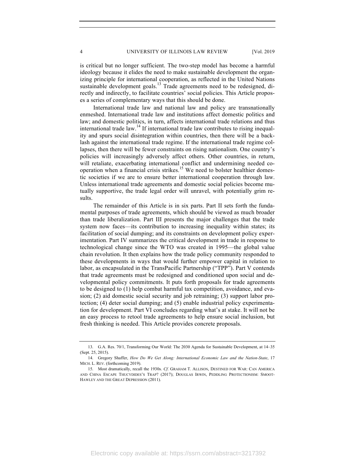is critical but no longer sufficient. The two-step model has become a harmful ideology because it elides the need to make sustainable development the organizing principle for international cooperation, as reflected in the United Nations sustainable development goals.<sup>13</sup> Trade agreements need to be redesigned, directly and indirectly, to facilitate countries' social policies. This Article proposes a series of complementary ways that this should be done.

International trade law and national law and policy are transnationally enmeshed. International trade law and institutions affect domestic politics and law; and domestic politics, in turn, affects international trade relations and thus international trade  $law<sup>14</sup>$  If international trade law contributes to rising inequality and spurs social disintegration within countries, then there will be a backlash against the international trade regime. If the international trade regime collapses, then there will be fewer constraints on rising nationalism. One country's policies will increasingly adversely affect others. Other countries, in return, will retaliate, exacerbating international conflict and undermining needed cooperation when a financial crisis strikes.<sup>15</sup> We need to bolster healthier domestic societies if we are to ensure better international cooperation through law. Unless international trade agreements and domestic social policies become mutually supportive, the trade legal order will unravel, with potentially grim results.

The remainder of this Article is in six parts. Part II sets forth the fundamental purposes of trade agreements, which should be viewed as much broader than trade liberalization. Part III presents the major challenges that the trade system now faces—its contribution to increasing inequality within states; its facilitation of social dumping; and its constraints on development policy experimentation. Part IV summarizes the critical development in trade in response to technological change since the WTO was created in 1995—the global value chain revolution. It then explains how the trade policy community responded to these developments in ways that would further empower capital in relation to labor, as encapsulated in the TransPacific Partnership ("TPP"). Part V contends that trade agreements must be redesigned and conditioned upon social and developmental policy commitments. It puts forth proposals for trade agreements to be designed to (1) help combat harmful tax competition, avoidance, and evasion; (2) aid domestic social security and job retraining; (3) support labor protection; (4) deter social dumping; and (5) enable industrial policy experimentation for development. Part VI concludes regarding what's at stake. It will not be an easy process to retool trade agreements to help ensure social inclusion, but fresh thinking is needed. This Article provides concrete proposals.

<sup>13.</sup> G.A. Res. 70/1, Transforming Our World: The 2030 Agenda for Sustainable Development, at 14–35 (Sept. 25, 2015).

<sup>14.</sup> Gregory Shaffer, *How Do We Get Along: International Economic Law and the Nation-State*, 17 MICH. L. REV. (forthcoming 2019).

<sup>15.</sup> Most dramatically, recall the 1930s. *Cf*. GRAHAM T. ALLISON, DESTINED FOR WAR: CAN AMERICA AND CHINA ESCAPE THUCYDIDES'S TRAP? (2017); DOUGLAS IRWIN, PEDDLING PROTECTIONISM: SMOOT-HAWLEY AND THE GREAT DEPRESSION (2011).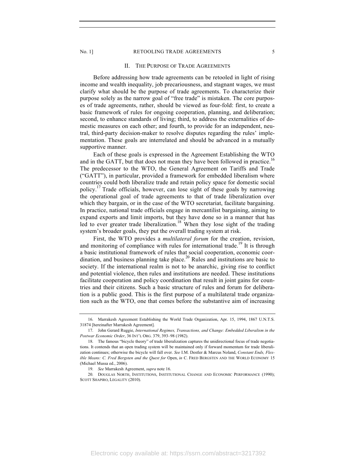#### No. 1] RETOOLING TRADE AGREEMENTS 5

# II. THE PURPOSE OF TRADE AGREEMENTS

Before addressing how trade agreements can be retooled in light of rising income and wealth inequality, job precariousness, and stagnant wages, we must clarify what should be the purpose of trade agreements. To characterize their purpose solely as the narrow goal of "free trade" is mistaken. The core purposes of trade agreements, rather, should be viewed as four-fold: first, to create a basic framework of rules for ongoing cooperation, planning, and deliberation; second, to enhance standards of living; third, to address the externalities of domestic measures on each other; and fourth, to provide for an independent, neutral, third-party decision-maker to resolve disputes regarding the rules' implementation. These goals are interrelated and should be advanced in a mutually supportive manner.

Each of these goals is expressed in the Agreement Establishing the WTO and in the GATT, but that does not mean they have been followed in practice.<sup>16</sup> The predecessor to the WTO, the General Agreement on Tariffs and Trade ("GATT"), in particular, provided a framework for embedded liberalism where countries could both liberalize trade and retain policy space for domestic social policy.17 Trade officials, however, can lose sight of these goals by narrowing the operational goal of trade agreements to that of trade liberalization over which they bargain, or in the case of the WTO secretariat, facilitate bargaining. In practice, national trade officials engage in mercantilist bargaining, aiming to expand exports and limit imports, but they have done so in a manner that has led to ever greater trade liberalization.<sup>18</sup> When they lose sight of the trading system's broader goals, they put the overall trading system at risk.

First, the WTO provides a *multilateral forum* for the creation, revision, and monitoring of compliance with rules for international trade.<sup>19</sup> It is through a basic institutional framework of rules that social cooperation, economic coordination, and business planning take place. $^{20}$  Rules and institutions are basic to society. If the international realm is not to be anarchic, giving rise to conflict and potential violence, then rules and institutions are needed. These institutions facilitate cooperation and policy coordination that result in joint gains for countries and their citizens. Such a basic structure of rules and forum for deliberation is a public good. This is the first purpose of a multilateral trade organization such as the WTO, one that comes before the substantive aim of increasing

<sup>16.</sup> Marrakesh Agreement Establishing the World Trade Organization, Apr. 15, 1994, 1867 U.N.T.S. 31874 [hereinafter Marrakesh Agreement].

<sup>17.</sup> John Gerard Ruggie, *International Regimes, Transactions, and Change: Embedded Liberalism in the Postwar Economic Order*, 36 INT'L ORG. 379, 393–98 (1982).

<sup>18.</sup> The famous "bicycle theory" of trade liberalization captures the unidirectional focus of trade negotiations. It contends that an open trading system will be maintained only if forward momentum for trade liberalization continues; otherwise the bicycle will fall over. *See* I.M. Destler & Marcus Noland, *Constant Ends, Flexible Means: C. Fred Bergsten and the Quest for* Open, *in* C. FRED BERGSTEN AND THE WORLD ECONOMY 15 (Michael Mussa ed., 2006).

<sup>19.</sup> *See* Marrakesh Agreement, *supra* note 16.

<sup>20.</sup> DOUGLAS NORTH, INSTITUTIONS, INSTITUTIONAL CHANGE AND ECONOMIC PERFORMANCE (1990); SCOTT SHAPIRO, LEGALITY (2010).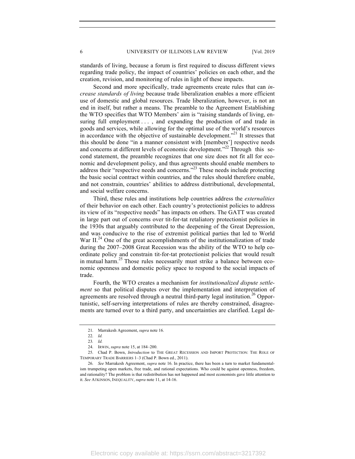standards of living, because a forum is first required to discuss different views regarding trade policy, the impact of countries' policies on each other, and the creation, revision, and monitoring of rules in light of these impacts.

Second and more specifically, trade agreements create rules that can *increase standards of living* because trade liberalization enables a more efficient use of domestic and global resources. Trade liberalization, however, is not an end in itself, but rather a means. The preamble to the Agreement Establishing the WTO specifies that WTO Members' aim is "raising standards of living, ensuring full employment ..., and expanding the production of and trade in goods and services, while allowing for the optimal use of the world's resources in accordance with the objective of sustainable development."<sup>21</sup> It stresses that this should be done "in a manner consistent with [members'] respective needs and concerns at different levels of economic development."<sup>22</sup> Through this second statement, the preamble recognizes that one size does not fit all for economic and development policy, and thus agreements should enable members to address their "respective needs and concerns."<sup>23</sup> These needs include protecting the basic social contract within countries, and the rules should therefore enable, and not constrain, countries' abilities to address distributional, developmental, and social welfare concerns.

Third, these rules and institutions help countries address the *externalities* of their behavior on each other. Each country's protectionist policies to address its view of its "respective needs" has impacts on others. The GATT was created in large part out of concerns over tit-for-tat retaliatory protectionist policies in the 1930s that arguably contributed to the deepening of the Great Depression, and was conducive to the rise of extremist political parties that led to World War II.<sup>24</sup> One of the great accomplishments of the institutionalization of trade during the 2007–2008 Great Recession was the ability of the WTO to help coordinate policy and constrain tit-for-tat protectionist policies that would result in mutual harm.<sup>25</sup> Those rules necessarily must strike a balance between economic openness and domestic policy space to respond to the social impacts of trade.

Fourth, the WTO creates a mechanism for *institutionalized dispute settlement* so that political disputes over the implementation and interpretation of agreements are resolved through a neutral third-party legal institution.<sup>26</sup> Opportunistic, self-serving interpretations of rules are thereby constrained, disagreements are turned over to a third party, and uncertainties are clarified. Legal de-

<sup>21.</sup> Marrakesh Agreement, *supra* note 16.

<sup>22.</sup> *Id.*

<sup>23</sup>*. Id.*

<sup>24.</sup> IRWIN, *supra* note 15, at 184–200.

<sup>25.</sup> Chad P. Bown, *Introduction* to THE GREAT RECESSION AND IMPORT PROTECTION: THE ROLE OF TEMPORARY TRADE BARRIERS 1–3 (Chad P. Bown ed., 2011).

<sup>26.</sup> *See* Marrakesh Agreement, *supra* note 16. In practice, there has been a turn to market fundamentalism trumpeting open markets, free trade, and rational expectations. Who could be against openness, freedom, and rationality? The problem is that redistribution has not happened and most economists gave little attention to it. *See* ATKINSON, INEQUALITY, *supra* note 11, at 14-16.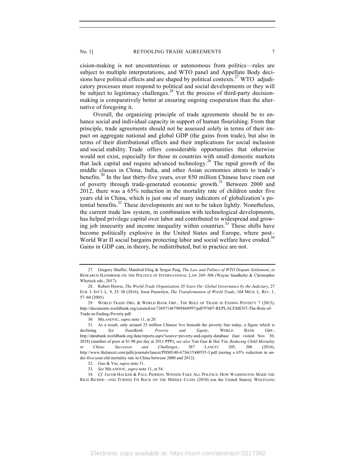cision-making is not uncontentious or autonomous from politics—rules are subject to multiple interpretations, and WTO panel and Appellate Body decisions have political effects and are shaped by political contexts.<sup>27</sup> WTO adjudicatory processes must respond to political and social developments or they will be subject to legitimacy challenges.<sup>28</sup> Yet the process of third-party decisionmaking is comparatively better at ensuring ongoing cooperation than the alternative of foregoing it.

Overall, the organizing principle of trade agreements should be to enhance social and individual capacity in support of human flourishing. From that principle, trade agreements should not be assessed solely in terms of their impact on aggregate national and global GDP (the gains from trade), but also in terms of their distributional effects and their implications for social inclusion and social stability. Trade offers considerable opportunities that otherwise would not exist, especially for those in countries with small domestic markets that lack capital and require advanced technology.<sup>29</sup> The rapid growth of the middle classes in China, India, and other Asian economies attests to trade's benefits.<sup>30</sup> In the last thirty-five years, over 850 million Chinese have risen out of poverty through trade-generated economic growth.<sup>31</sup> Between 2000 and 2012, there was a 65% reduction in the mortality rate of children under five years old in China, which is just one of many indicators of globalization's potential benefits.<sup>32</sup> These developments are not to be taken lightly. Nonetheless, the current trade law system, in combination with technological developments, has helped privilege capital over labor and contributed to widespread and growing job insecurity and income inequality within countries.<sup>33</sup> These shifts have become politically explosive in the United States and Europe, where post– World War II social bargains protecting labor and social welfare have eroded.<sup>34</sup> Gains in GDP can, in theory, be redistributed, but in practice are not.

<sup>27.</sup> Gregory Shaffer, Manfred Elsig & Sergio Puig, *The Law and Politics of WTO Dispute Settlement*, *in* RESEARCH HANDBOOK ON THE POLITICS OF INTERNATIONAL LAW 269–306 (Wayne Sandholtz & Christopher Whytock eds., 2017).

<sup>28.</sup> Robert Howse, *The World Trade Organization 20 Years On: Global Governance by the Judiciary*, 27 EUR. J. INT'L L. 9, 25–30 (2016); Joost Pauwelyn, *The Transformation of World Trade*, 104 MICH. L. REV. 1, 57–60 (2005).

<sup>29.</sup> WORLD TRADE ORG. & WORLD BANK GRP., THE ROLE OF TRADE IN ENDING POVERTY 7 (2015), http://documents.worldbank.org/curated/en/726971467989468997/pdf/97607-REPLACEMENT-The-Role-of-Trade-in-Ending-Poverty.pdf.

<sup>30.</sup> MILANOVIC, *supra* note 11, at 20.

<sup>31.</sup> As a result, only around 25 million Chinese live beneath the poverty line today, a figure which is declining. *See DataBank: Poverty and Equity*, WORLD BANK GRP., http://databank.worldbank.org/data/reports.aspx?source=poverty-and-equity-database (last visited Nov. 30, 2018) (number of poor at \$1.90 per day at 2011 PPP); *see also* Yan Guo & Hui Yin, *Reducing Child Mortality in China: Successes and Challenges*, 387 LANCET 205, 206 (2016), http://www.thelancet.com/pdfs/journals/lancet/PIIS0140-6736(15)00555-3.pdf (noting a 65% reduction in under-five-year-old mortality rate in China between 2000 and 2012).

<sup>32.</sup> Guo & Yin, *supra* note 31.

<sup>33.</sup> *See* MILANOVIC, *supra* note 11, at 54.

<sup>34.</sup> *Cf.* JACOB HACKER & PAUL PIERSON, WINNER-TAKE ALL POLITICS: HOW WASHINGTON MADE THE RICH RICHER—AND TURNED ITS BACK ON THE MIDDLE CLASS (2010) (on the United States); WOLFGANG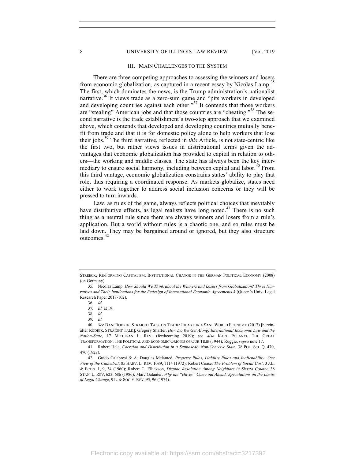#### 8 UNIVERSITY OF ILLINOIS LAW REVIEW [Vol. 2019]

#### III. MAIN CHALLENGES TO THE SYSTEM

There are three competing approaches to assessing the winners and losers from economic globalization, as captured in a recent essay by Nicolas Lamp.<sup>3</sup> The first, which dominates the news, is the Trump administration's nationalist narrative.<sup>36</sup> It views trade as a zero-sum game and "pits workers in developed and developing countries against each other."<sup>37</sup> It contends that those workers are "stealing" American jobs and that those countries are "cheating."<sup>38</sup> The second narrative is the trade establishment's two-step approach that we examined above, which contends that developed and developing countries mutually benefit from trade and that it is for domestic policy alone to help workers that lose their jobs.<sup>39</sup> The third narrative, reflected in *this* Article, is not state-centric like the first two, but rather views issues in distributional terms given the advantages that economic globalization has provided to capital in relation to others—the working and middle classes. The state has always been the key intermediary to ensure social harmony, including between capital and labor.<sup>40</sup> From this third vantage, economic globalization constrains states' ability to play that role, thus requiring a coordinated response. As markets globalize, states need either to work together to address social inclusion concerns or they will be pressed to turn inwards.

Law, as rules of the game, always reflects political choices that inevitably have distributive effects, as legal realists have long noted.<sup>41</sup> There is no such thing as a neutral rule since there are always winners and losers from a rule's application. But a world without rules is a chaotic one, and so rules must be laid down. They may be bargained around or ignored, but they also structure outcomes.<sup>42</sup>

STREECK, RE-FORMING CAPITALISM: INSTITUTIONAL CHANGE IN THE GERMAN POLITICAL ECONOMY (2008) (on Germany).

<sup>35.</sup> Nicolas Lamp, *How Should We Think about the Winners and Losers from Globalization? Three Narratives and Their Implications for the Redesign of International Economic Agreements* 4 (Queen's Univ. Legal Research Paper 2018-102).

<sup>36</sup>*. Id.*

<sup>37.</sup> *Id.* at 19.

<sup>38</sup>*. Id.*

<sup>39</sup>*. Id.*

<sup>40.</sup> *See* DANI RODRIK, STRAIGHT TALK ON TRADE: IDEAS FOR A SANE WORLD ECONOMY (2017) [hereinafter RODRIK, STRAIGHT TALK]; Gregory Shaffer, *How Do We Get Along: International Economic Law and the Nation-State*, 17 MICHIGAN L. REV. (forthcoming 2019); *see also* KARL POLANYI, THE GREAT TRANSFORMATION: THE POLITICAL AND ECONOMIC ORIGINS OF OUR TIME (1944); Ruggie, *supra* note 17.

<sup>41.</sup> Robert Hale, *Coercion and Distribution in a Supposedly Non-Coercive State*, 38 POL. SCI. Q. 470, 470 (1923).

<sup>42.</sup> Guido Calabresi & A. Douglas Melamed, *Property Rules, Liability Rules and Inalienability: One View of the Cathedral*, 85 HARV. L. REV. 1089, 1114 (1972); Robert Coase, *The Problem of Social Cost*, 3 J.L. & ECON. 1, 9, 34 (1960); Robert C. Ellickson, *Dispute Resolution Among Neighbors in Shasta County*, 38 STAN. L. REV. 623, 686 (1986); Marc Galanter, *Why the "Haves" Come out Ahead: Speculations on the Limits of Legal Change*, 9 L. & SOC'Y. REV. 95, 96 (1974).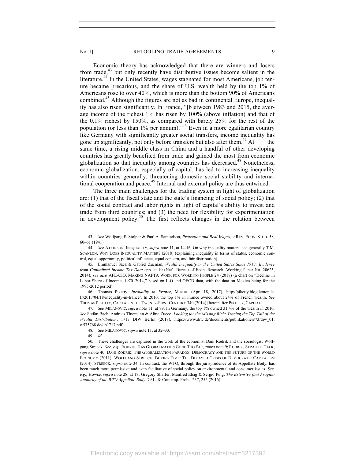Economic theory has acknowledged that there are winners and losers from trade, $43$  but only recently have distributive issues become salient in the literature.<sup>44</sup> In the United States, wages stagnated for most Americans, job tenure became precarious, and the share of U.S. wealth held by the top 1% of Americans rose to over 40%, which is more than the bottom 90% of Americans combined.<sup>45</sup> Although the figures are not as bad in continental Europe, inequality has also risen significantly. In France, "[b]etween 1983 and 2015, the average income of the richest 1% has risen by 100% (above inflation) and that of the 0.1% richest by 150%, as compared with barely 25% for the rest of the population (or less than 1% per annum)."<sup>46</sup> Even in a more egalitarian country like Germany with significantly greater social transfers, income inequality has gone up significantly, not only before transfers but also after them.<sup>47</sup> At same time, a rising middle class in China and a handful of other developing countries has greatly benefited from trade and gained the most from economic globalization so that inequality among countries has decreased.<sup>48</sup> Nonetheless, economic globalization, especially of capital, has led to increasing inequality within countries generally, threatening domestic social stability and international cooperation and peace.<sup>49</sup> Internal and external policy are thus entwined.

The three main challenges for the trading system in light of globalization are: (1) that of the fiscal state and the state's financing of social policy; (2) that of the social contract and labor rights in light of capital's ability to invest and trade from third countries; and (3) the need for flexibility for experimentation in development policy.<sup>50</sup> The first reflects changes in the relation between

46. Thomas Piketty, *Inequality in France*, MONDE (Apr. 18, 2017), http://piketty.blog.lemonde. fr/2017/04/18/inequality-in-france/. In 2010, the top 1% in France owned about 24% of French wealth. *See* THOMAS PIKETTY, CAPITAL IN THE TWENTY-FIRST CENTURY 340 (2014) [hereinafter PIKETTY, CAPITAL].

47. *See* MILANOVIC, *supra* note 11, at 79. In Germany, the top 1% owned 31.4% of the wealth in 2010. *See* Stefan Bach, Andreas Thiemann & Aline Zucco, *Looking for the Missing Rich: Tracing the Top Tail of the Wealth Distribution*, 1717 DIW Berlin (2018), https://www.diw.de/documents/publikationen/73/diw\_01. c.575768.de/dp1717.pdf.

<sup>43.</sup> *See* Wolfgang F. Stolper & Paul A. Samuelson, *Protection and Real Wages*, 9 REV. ECON. STUD. 58, 60–61 (1941).

<sup>44</sup>*. See* ATKINSON, INEQUALITY, *supra* note 11, at 14-16. On why inequality matters, see generally T.M. SCANLON, WHY DOES INEQUALITY MATTER? (2018) (explaining inequality in terms of status, economic control, equal opportunity, political influence, equal concern, and fair distribution).

<sup>45.</sup> Emmanuel Saez & Gabriel Zucman, *Wealth Inequality in the United States Since 1913: Evidence from Capitalized Income Tax Data* app. at 10 (Nat'l Bureau of Econ. Research, Working Paper No. 20625, 2014); *see also* AFL-CIO, MAKING NAFTA WORK FOR WORKING PEOPLE 24 (2017) (a chart on "Decline in Labor Share of Income, 1970–2014," based on ILO and OECD data, with the data on Mexico being for the 1995-2012 period).

<sup>48.</sup> *See* MILANOVIC, *supra* note 11, at 32–33.

<sup>49.</sup> *Id.*

<sup>50.</sup> These challenges are captured in the work of the economist Dani Rodrik and the sociologist Wolfgang Streeck. *See, e.g.*, RODRIK, HAS GLOBALIZATION GONE TOO FAR, *supra* note 9; RODRIK, STRAIGHT TALK, *supra* note 40; DANI RODRIK, THE GLOBALIZATION PARADOX: DEMOCRACY AND THE FUTURE OF THE WORLD ECONOMY (2011); WOLFGANG STREECK, BUYING TIME: THE DELAYED CRISIS OF DEMOCRATIC CAPITALISM (2014); STREECK, *supra* note 34. In contrast, the WTO, through the jurisprudence of its Appellate Body, has been much more permissive and even facilitative of social policy on environmental and consumer issues. *See, e.g.*, Howse, *supra* note 28, at 17; Gregory Shaffer, Manfred Elsig & Sergio Puig, *The Extensive (but Fragile) Authority of the WTO Appellate Body*, 79 L. & Contemp. Probs. 237, 255 (2016).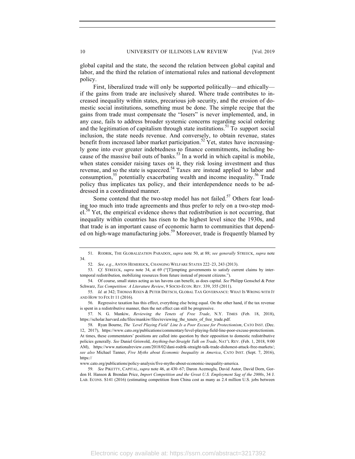global capital and the state, the second the relation between global capital and labor, and the third the relation of international rules and national development policy.

First, liberalized trade will only be supported politically—and ethically if the gains from trade are inclusively shared. Where trade contributes to increased inequality within states, precarious job security, and the erosion of domestic social institutions, something must be done. The simple recipe that the gains from trade must compensate the "losers" is never implemented, and, in any case, fails to address broader systemic concerns regarding social ordering and the legitimation of capitalism through state institutions.<sup>51</sup> To support social inclusion, the state needs revenue. And conversely, to obtain revenue, states benefit from increased labor market participation.<sup>52</sup> Yet, states have increasingly gone into ever greater indebtedness to finance commitments, including because of the massive bail outs of banks.<sup>53</sup> In a world in which capital is mobile, when states consider raising taxes on it, they risk losing investment and thus revenue, and so the state is squeezed.54 Taxes are instead applied to labor and consumption,<sup>55</sup> potentially exacerbating wealth and income inequality.<sup>56</sup> Trade policy thus implicates tax policy, and their interdependence needs to be addressed in a coordinated manner.

Some contend that the two-step model has not failed.<sup>57</sup> Others fear loading too much into trade agreements and thus prefer to rely on a two-step mod $el^{38}$  Yet, the empirical evidence shows that redistribution is not occurring, that inequality within countries has risen to the highest level since the 1930s, and that trade is an important cause of economic harm to communities that depended on high-wage manufacturing jobs.<sup>59</sup> Moreover, trade is frequently blamed by

57. N. G. Mankiw, *Reviewing the Tenets of Free Trade*, N.Y. TIMES (Feb. 18, 2018), https://scholar.harvard.edu/files/mankiw/files/reviewing\_the\_tenets\_of\_free\_trade.pdf.

<sup>51.</sup> RODRIK, THE GLOBALIZATION PARADOX, *supra* note 50, at 88; *see generally* STREECK, *supra* note 34.

<sup>52.</sup> *See, e.g.*, ANTON HEMERIJCK, CHANGING WELFARE STATES 222–23, 243 (2013).

<sup>53.</sup> *Cf.* STREECK, *supra* note 34, at 69 ("[T]empting governments to satisfy current claims by intertemporal redistribution, mobilizing resources from future instead of present citizens.").

<sup>54.</sup> Of course, small states acting as tax havens can benefit, as does capital. *See* Philipp Genschel & Peter Schwarz, *Tax Competition: A Literature Review*, 9 SOCIO-ECON. REV. 339, 355 (2011).

<sup>55.</sup> *Id.* at 342; THOMAS RIXEN & PETER DIETSCH, GLOBAL TAX GOVERNANCE: WHAT IS WRONG WITH IT AND HOW TO FIX IT 11 (2016).

<sup>56.</sup> Regressive taxation has this effect, everything else being equal. On the other hand, if the tax revenue is spent in a redistributive manner, then the net effect can still be progressive.

<sup>58.</sup> Ryan Bourne, *The 'Level Playing Field' Line Is a Poor Excuse for Protectionism*, CATO INST. (Dec. 12, 2017), https://www.cato.org/publications/commentary/level-playing-field-line-poor-excuse-protectionism. At times, these commentators' positions are called into question by their opposition to domestic redistributive policies generally. *See* Daniel Griswold, *Anything-but-Straight Talk on Trade*, NAT'L REV. (Feb. 1, 2018, 9:00 AM), https://www.nationalreview.com/2018/02/dani-rodrik-straight-talk-trade-dishonest-attack-free-markets/; *see also* Michael Tanner, *Five Myths about Economic Inequality in America*, CATO INST. (Sept. 7, 2016), https://

www.cato.org/publications/policy-analysis/five-myths-about-economic-inequality-america.

<sup>59.</sup> *See* PIKETTY, CAPITAL, *supra* note 46, at 430–67; Daron Acemoglu, David Autor, David Dorn, Gordon H. Hanson & Brendan Price, *Import Competition and the Great U.S. Employment Sag of the 2000s*, 34 J. LAB. ECONS. S141 (2016) (estimating competition from China cost as many as 2.4 million U.S. jobs between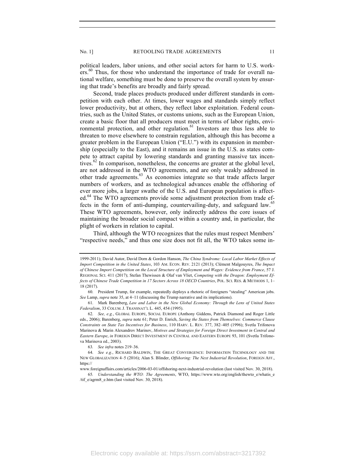political leaders, labor unions, and other social actors for harm to U.S. workers.<sup>60</sup> Thus, for those who understand the importance of trade for overall national welfare, something must be done to preserve the overall system by ensuring that trade's benefits are broadly and fairly spread.

Second, trade places products produced under different standards in competition with each other. At times, lower wages and standards simply reflect lower productivity, but at others, they reflect labor exploitation. Federal countries, such as the United States, or customs unions, such as the European Union, create a basic floor that all producers must meet in terms of labor rights, environmental protection, and other regulation.<sup>61</sup> Investors are thus less able to threaten to move elsewhere to constrain regulation, although this has become a greater problem in the European Union ("E.U.") with its expansion in membership (especially to the East), and it remains an issue in the U.S. as states compete to attract capital by lowering standards and granting massive tax incentives.<sup>62</sup> In comparison, nonetheless, the concerns are greater at the global level, are not addressed in the WTO agreements, and are only weakly addressed in other trade agreements.63 As economies integrate so that trade affects larger numbers of workers, and as technological advances enable the offshoring of ever more jobs, a larger swathe of the U.S. and European population is affected.<sup>64</sup> The WTO agreements provide some adjustment protection from trade effects in the form of anti-dumping, countervailing-duty, and safeguard law.<sup>65</sup> These WTO agreements, however, only indirectly address the core issues of maintaining the broader social compact within a country and, in particular, the plight of workers in relation to capital.

Third, although the WTO recognizes that the rules must respect Members' "respective needs," and thus one size does not fit all, the WTO takes some in-

61. Mark Barenberg, *Law and Labor in the New Global Economy: Through the Lens of United States Federalism*, 33 COLUM. J. TRANSNAT'L L. 445, 454 (1995).

<sup>1999-2011);</sup> David Autor, David Dorn & Gordon Hanson, *The China Syndrome: Local Labor Market Effects of Import Competition in the United States*, 103 AM. ECON. REV. 2121 (2013); Clément Malgouyres, *The Impact of Chinese Import Competition on the Local Structure of Employment and Wages: Evidence from France*, 57 J. REGIONAL SCI. 411 (2017); Stefan Thewissen & Olaf van Vliet, *Competing with the Dragon: Employment Effects of Chinese Trade Competition in 17 Sectors Across 18 OECD Countries*, POL. SCI. RES. & METHODS 1, 1– 18 (2017).

<sup>60.</sup> President Trump, for example, repeatedly deploys a rhetoric of foreigners "stealing" American jobs. *See* Lamp, *supra* note 35, at 4–11 (discussing the Trump narrative and its implications).

<sup>62.</sup> *See, e.g.*, GLOBAL EUROPE, SOCIAL EUROPE (Anthony Giddens, Patrick Diamond and Roger Little eds., 2006); Barenberg, *supra* note 61; Peter D. Enrich, *Saving the States from Themselves: Commerce Clause Constraints on State Tax Incentives for Business*, 110 HARV. L. REV. 377, 382–405 (1996); Svetla Trifonova Marinova & Marin Alexandrov Marinov, *Motives and Strategies for Foreign Direct Investment in Central and Eastern Europe*, *in* FOREIGN DIRECT INVESTMENT IN CENTRAL AND EASTERN EUROPE 93, 101 (Svetla Trifonova Marinova ed., 2003).

<sup>63</sup>*. See infra* notes 219–36.

<sup>64.</sup> *See e.g.*, RICHARD BALDWIN, THE GREAT CONVERGENCE: INFORMATION TECHNOLOGY AND THE NEW GLOBALIZATION 4–5 (2016); Alan S. Blinder, *Offshoring: The Next Industrial Revolution*, FOREIGN AFF., https://

www.foreignaffairs.com/articles/2006-03-01/offshoring-next-industrial-revolution (last visited Nov. 30, 2018).

<sup>65</sup>*. Understanding the WTO: The Agreements*, WTO, https://www.wto.org/english/thewto\_e/whatis\_e /tif\_e/agrm8\_e.htm (last visited Nov. 30, 2018).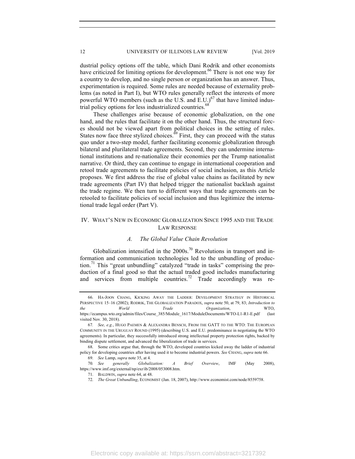dustrial policy options off the table, which Dani Rodrik and other economists have criticized for limiting options for development.<sup>66</sup> There is not one way for a country to develop, and no single person or organization has an answer. Thus, experimentation is required. Some rules are needed because of externality problems (as noted in Part I), but WTO rules generally reflect the interests of more powerful WTO members (such as the U.S. and  $E.U.$ )<sup>67</sup> that have limited industrial policy options for less industrialized countries.<sup>68</sup>

These challenges arise because of economic globalization, on the one hand, and the rules that facilitate it on the other hand. Thus, the structural forces should not be viewed apart from political choices in the setting of rules. States now face three stylized choices. $69$  First, they can proceed with the status quo under a two-step model, further facilitating economic globalization through bilateral and plurilateral trade agreements. Second, they can undermine international institutions and re-nationalize their economies per the Trump nationalist narrative. Or third, they can continue to engage in international cooperation and retool trade agreements to facilitate policies of social inclusion, as this Article proposes. We first address the rise of global value chains as facilitated by new trade agreements (Part IV) that helped trigger the nationalist backlash against the trade regime. We then turn to different ways that trade agreements can be retooled to facilitate policies of social inclusion and thus legitimize the international trade legal order (Part V).

# IV. WHAT'S NEW IN ECONOMIC GLOBALIZATION SINCE 1995 AND THE TRADE LAW RESPONSE

# *A. The Global Value Chain Revolution*

Globalization intensified in the  $2000s$ .<sup>70</sup> Revolutions in transport and information and communication technologies led to the unbundling of production.<sup>71</sup> This "great unbundling" catalyzed "trade in tasks" comprising the production of a final good so that the actual traded good includes manufacturing and services from multiple countries.<sup>72</sup> Trade accordingly was re-

<sup>66.</sup> HA-JOON CHANG, KICKING AWAY THE LADDER: DEVELOPMENT STRATEGY IN HISTORICAL PERSPECTIVE 15–16 (2002); RODRIK, THE GLOBALIZATION PARADOX, *supra* note 50, at 79, 83; *Introduction to the World Trade Organization*, WTO, https://ecampus.wto.org/admin/files/Course\_385/Module\_1617/ModuleDocuments/WTO-L1-R1-E.pdf (last visited Nov. 30, 2018).

<sup>67</sup>*. See, e.g.*, HUGO PAEMEN & ALEXANDRA BENSCH, FROM THE GATT TO THE WTO: THE EUROPEAN COMMUNITY IN THE URUGUAY ROUND (1995) (describing U.S. and E.U. predominance in negotiating the WTO agreements). In particular, they successfully introduced strong intellectual property protection rights, backed by binding dispute settlement, and advanced the liberalization of trade in services.

<sup>68.</sup> Some critics argue that, through the WTO, developed countries kicked away the ladder of industrial policy for developing countries after having used it to become industrial powers. *See* CHANG, *supra* note 66.

<sup>69.</sup> *See* Lamp, *supra* note 35, at 4.

<sup>70</sup>*. See generally Globalization: A Brief Overview*, IMF (May 2008), https://www.imf.org/external/np/exr/ib/2008/053008.htm.

<sup>71.</sup> BALDWIN, *supra* note 64, at 48.

<sup>72.</sup> *The Great Unbundling*, ECONOMIST (Jan. 18, 2007), http://www.economist.com/node/8559758.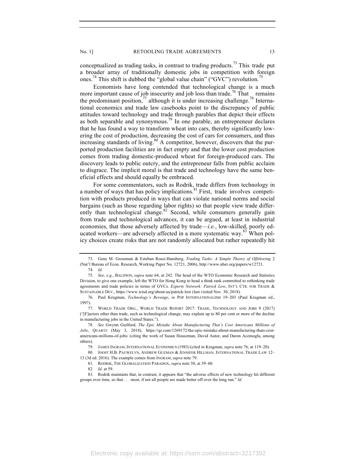conceptualized as trading tasks, in contrast to trading products.<sup>73</sup> This trade put a broader array of traditionally domestic jobs in competition with foreign ones.<sup>74</sup> This shift is dubbed the "global value chain" ("GVC") revolution.<sup>75</sup>

Economists have long contended that technological change is a much more important cause of job insecurity and job loss than trade.<sup>76</sup> That remains the predominant position, $^{77}$  although it is under increasing challenge.<sup>78</sup> International economics and trade law casebooks point to the discrepancy of public attitudes toward technology and trade through parables that depict their effects as both separable and synonymous.<sup>79</sup> In one parable, an entrepreneur declares that he has found a way to transform wheat into cars, thereby significantly lowering the cost of production, decreasing the cost of cars for consumers, and thus increasing standards of living.<sup>80</sup> A competitor, however, discovers that the purported production facilities are in fact empty and that the lower cost production comes from trading domestic-produced wheat for foreign-produced cars. The discovery leads to public outcry, and the entrepreneur falls from public acclaim to disgrace. The implicit moral is that trade and technology have the same beneficial effects and should equally be embraced.

For some commentators, such as Rodrik, trade differs from technology in a number of ways that has policy implications.<sup>81</sup> First, trade involves competition with products produced in ways that can violate national norms and social bargains (such as those regarding labor rights) so that people view trade differently than technological change.<sup>82</sup> Second, while consumers generally gain from trade and technological advances, it can be argued, at least in industrial economies, that those adversely affected by trade—*i.e.*, low-skilled, poorly educated workers—are adversely affected in a more systematic way.<sup>83</sup> When policy choices create risks that are not randomly allocated but rather repeatedly hit

<sup>73.</sup> Gene M. Grossman & Esteban Rossi-Hansberg, *Trading Tasks: A Simple Theory of Offshoring* 2 (Nat'l Bureau of Econ. Research, Working Paper No. 12721, 2006), http://www.nber.org/papers/w12721. 74. *Id.*

<sup>75.</sup> *See, e.g.*, BALDWIN, *supra* note 64, at 242. The head of the WTO Economic Research and Statistics Division, to give one example, left the WTO for Hong Kong to head a think tank committed to rethinking trade agreements and trade policies in terms of GVCs. *Experts Network: Patrick Low*, INT'L CTR. FOR TRADE & SUSTAINABLE DEV., https://www.ictsd.org/about-us/patrick-low (last visited Nov. 30, 2018).

<sup>76.</sup> Paul Krugman, *Technology's Revenge*, *in* POP INTERNATIONALISM 19–203 (Paul Krugman ed., 1997).

<sup>77.</sup> WORLD TRADE ORG., WORLD TRADE REPORT 2017: TRADE, TECHNOLOGY AND JOBS 9 (2017) ("[F]actors other than trade, such as technological change, may explain up to 80 per cent or more of the decline in manufacturing jobs in the United States.").

<sup>78</sup>*. See* Gwynn Guilford, *The Epic Mistake About Manufacturing That's Cost Americans Millions of Jobs*, QUARTZ (May 3, 2018), https://qz.com/1269172/the-epic-mistake-about-manufacturing-thats-costamericans-millions-of-jobs/ (citing the work of Susan Houseman, David Autor, and Daron Acemoglu, among others).

<sup>79.</sup> JAMES INGRAM, INTERNATIONAL ECONOMICS (1983) (cited in Krugman, *supra* note 76, at 119–20).

<sup>80.</sup> JOOST H.B. PAUWELYN, ANDREW GUZMAN & JENNIFER HILLMAN, INTERNATIONAL TRADE LAW 12– 13 (3d ed. 2016). The example comes from INGRAM, *supra* note 79.

<sup>81.</sup> RODRIK, THE GLOBALIZATION PARADOX, *supra* note 50, at 59–60.

<sup>82</sup>*. Id.* at 59.

<sup>83.</sup> Rodrik maintains that, in contrast, it appears that "the adverse effects of new technology hit different groups over time, so that . . . most, if not all people are made better off over the long run." *Id.*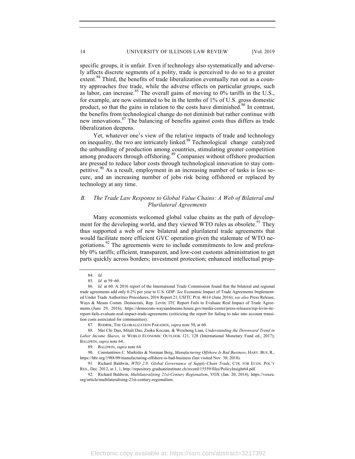specific groups, it is unfair. Even if technology also systematically and adversely affects discrete segments of a polity, trade is perceived to do so to a greater extent.<sup>84</sup> Third, the benefits of trade liberalization eventually run out as a country approaches free trade, while the adverse effects on particular groups, such as labor, can increase.<sup>85</sup> The overall gains of moving to  $0\%$  tariffs in the U.S., for example, are now estimated to be in the tenths of 1% of U.S. gross domestic product, so that the gains in relation to the costs have diminished.<sup>86</sup> In contrast, the benefits from technological change do not diminish but rather continue with new innovations.<sup>87</sup> The balancing of benefits against costs thus differs as trade liberalization deepens.

Yet, whatever one's view of the relative impacts of trade and technology on inequality, the two are intricately linked.88 Technological change catalyzed the unbundling of production among countries, stimulating greater competition among producers through offshoring.<sup>89</sup> Companies without offshore production are pressed to reduce labor costs through technological innovation to stay competitive.<sup>90</sup> As a result, employment in an increasing number of tasks is less secure, and an increasing number of jobs risk being offshored or replaced by technology at any time.

# *B. The Trade Law Response to Global Value Chains: A Web of Bilateral and Plurilateral Agreements*

Many economists welcomed global value chains as the path of development for the developing world, and they viewed WTO rules as obsolete.<sup>91</sup> They thus supported a web of new bilateral and plurilateral trade agreements that would facilitate more efficient GVC operation given the stalemate of WTO negotiations.<sup>92</sup> The agreements were to include commitments to low and preferably 0% tariffs; efficient, transparent, and low-cost customs administration to get parts quickly across borders; investment protection; enhanced intellectual prop-

<sup>84</sup>*. Id.*

<sup>85</sup>*. Id.* at 59–60.

<sup>86.</sup> *Id.* at 60. A 2016 report of the International Trade Commission found that the bilateral and regional trade agreements add only 0.2% per year to U.S. GDP. *See* Economic Impact of Trade Agreements Implemented Under Trade Authorities Procedures, 2016 Report 21, USITC PUB. 4614 (June 2016); *see also* Press Release, Ways & Means Comm. Democrats, Rep. Levin: ITC Report Fails to Evaluate Real Impact of Trade Agreements (June 29, 2016), https://democrats-waysandmeans.house.gov/media-center/press-releases/rep-levin-itcreport-fails-evaluate-real-impact-trade-agreements (criticizing the report for failing to take into account transition costs associated for communities).

<sup>87</sup>*.* RODRIK, THE GLOBALIZATION PARADOX, *supra* note 50, at 60.

<sup>88.</sup> Mai Chi Dao, Mitali Das, Zsoka Koczan, & Weicheng Lian, *Understanding the Downward Trend in Labor Income Shares*, *in* WORLD ECONOMIC OUTLOOK 121, 128 (International Monetary Fund ed., 2017); BALDWIN, *supra* note 64.

<sup>89.</sup> BALDWIN, *supra* note 64.

<sup>90.</sup> Constantinos C. Markides & Norman Berg, *Manufacturing Offshore Is Bad Business*, HARV. BUS. R., https://hbr.org/1988/09/manufacturing-offshore-is-bad-business (last visited Nov. 30, 2018).

<sup>91.</sup> Richard Baldwin, *WTO 2.0: Global Governance of Supply-Chain Trade*, CTR. FOR ECON. POL'Y RES., Dec. 2012, at 1, 1, http://repository.graduateinstitute.ch/record/15559/files/PolicyInsight64.pdf.

<sup>92.</sup> Richard Baldwin, *Multilateralising 21st-Century Regionalism*, VOX (Jan. 20, 2014), https://voxeu. org/article/multilateralising-21st-century-regionalism.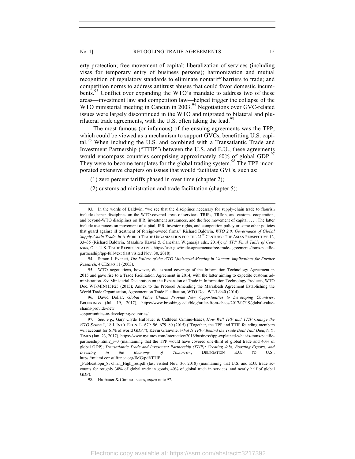erty protection; free movement of capital; liberalization of services (including visas for temporary entry of business persons); harmonization and mutual recognition of regulatory standards to eliminate nontariff barriers to trade; and competition norms to address antitrust abuses that could favor domestic incumbents.<sup>93</sup> Conflict over expanding the WTO's mandate to address two of these areas—investment law and competition law—helped trigger the collapse of the WTO ministerial meeting in Cancun in 2003.<sup>94</sup> Negotiations over GVC-related issues were largely discontinued in the WTO and migrated to bilateral and plurilateral trade agreements, with the U.S. often taking the lead.<sup>95</sup>

The most famous (or infamous) of the ensuing agreements was the TPP, which could be viewed as a mechanism to support GVCs, benefitting U.S. capital.<sup>96</sup> When including the U.S. and combined with a Transatlantic Trade and Investment Partnership ("TTIP") between the U.S. and E.U., these agreements would encompass countries comprising approximately 60% of global GDP.<sup>97</sup> They were to become templates for the global trading system.<sup>98</sup> The TPP incorporated extensive chapters on issues that would facilitate GVCs, such as:

(1) zero percent tariffs phased in over time (chapter 2);

(2) customs administration and trade facilitation (chapter 5);

94. Simon J. Evenett, *The Failure of the WTO Ministerial Meeting in Cancun: Implications for Further Research*, 4 CESIFO 11 (2003).

95. WTO negotiations, however, did expand coverage of the Information Technology Agreement in 2015 and gave rise to a Trade Facilitation Agreement in 2014, with the latter aiming to expedite customs administration. *See* Ministerial Declaration on the Expansion of Trade in Information Technology Products, WTO Doc. WT/MIN(15)/25 (2015); Annex to the Protocol Amending the Marrakesh Agreement Establishing the World Trade Organization, Agreement on Trade Facilitation, WTO Doc. WT/L/940 (2014).

96. David Dollar, *Global Value Chains Provide New Opportunities to Developing Countries*, BROOKINGS (Jul. 19, 2017), https://www.brookings.edu/blog/order-from-chaos/2017/07/19/global-valuechains-provide-new

-opportunities-to-developing-countries/.

<sup>93.</sup> In the words of Baldwin, "we see that the disciplines necessary for supply-chain trade to flourish include deeper disciplines on the WTO-covered areas of services, TRIPs, TRIMs, and customs cooperation, and beyond-WTO disciplines on IPR, investment assurances, and the free movement of capital . . . . The latter include assurances on movement of capital, IPR, investor rights, and competition policy or some other policies that guard against ill treatment of foreign-owned firms." Richard Baldwin, *WTO 2.0: Governance of Global Supply-Chain Trade*, *in* A WORLD TRADE ORGANIZATION FOR THE 21ST CENTURY: THE ASIAN PERSPECTIVE 12, 33–35 (Richard Baldwin, Masahiro Kawai & Ganeshan Wignaraja eds., 2014); *cf. TPP Final Table of Contents*, OFF. U.S. TRADE REPRESENTATIVE, https://ustr.gov/trade-agreements/free-trade-agreements/trans-pacificpartnership/tpp-full-text (last visited Nov. 30, 2018).

<sup>97.</sup> *See, e.g.*, Gary Clyde Hufbauer & Cathleen Cimino-Isaacs, *How Will TPP and TTIP Change the WTO System?*, 18 J. INT'L ECON. L. 679–96, 679–80 (2015) ("Together, the TPP and TTIP founding members will account for 61% of world GDP."); Kevin Granville, *What Is TPP? Behind the Trade Deal That Died*, N.Y. TIMES (Jan. 23, 2017), https://www.nytimes.com/interactive/2016/business/tpp-explained-what-is-trans-pacificpartnership.html? r=0 (maintaining that the TPP would have covered one-third of global trade and 40% of global GDP); *Transatlantic Trade and Investment Partnership (TTIP): Creating Jobs, Boosting Exports, and Investing in the Economy of Tomorrow*, DELEGATION E.U. TO U.S., https://miami.consulfrance.org/IMG/pdf/TTIP

Publicatiopn\_85x11in\_High\_res.pdf (last visited Nov. 30, 2018) (maintaining that U.S. and E.U. trade accounts for roughly 30% of global trade in goods, 40% of global trade in services, and nearly half of global GDP).

<sup>98.</sup> Hufbauer & Cimino-Isaacs, *supra* note 97.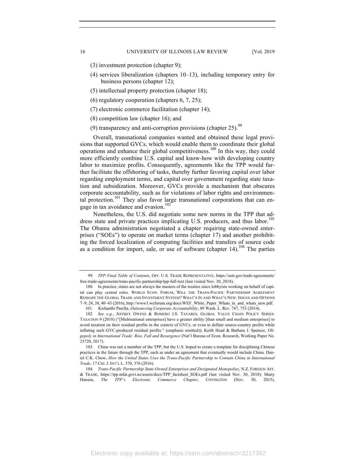- (3) investment protection (chapter 9);
- (4) services liberalization (chapters 10–13), including temporary entry for business persons (chapter 12);
- (5) intellectual property protection (chapter 18);
- (6) regulatory cooperation (chapters 6, 7, 25);
- (7) electronic commerce facilitation (chapter 14);
- (8) competition law (chapter 16); and
- (9) transparency and anti-corruption provisions (chapter 25).  $99$

Overall, transnational companies wanted and obtained these legal provisions that supported GVCs, which would enable them to coordinate their global operations and enhance their global competitiveness.<sup>100</sup> In this way, they could more efficiently combine U.S. capital and know-how with developing country labor to maximize profits. Consequently, agreements like the TPP would further facilitate the offshoring of tasks, thereby further favoring capital over labor regarding employment terms, and capital over government regarding state taxation and subsidization. Moreover, GVCs provide a mechanism that obscures corporate accountability, such as for violations of labor rights and environmental protection.<sup>101</sup> They also favor large transnational corporations that can engage in tax avoidance and evasion.<sup>102</sup>

Nonetheless, the U.S. did negotiate some new norms in the TPP that address state and private practices implicating U.S. producers, and thus labor.<sup>103</sup> The Obama administration negotiated a chapter requiring state-owned enterprises ("SOEs") to operate on market terms (chapter 17) and another prohibiting the forced localization of computing facilities and transfers of source code as a condition for import, sale, or use of software (chapter  $14$ ).<sup>104</sup> The parties

<sup>99.</sup> *TPP Final Table of Contents*, OFF. U.S. TRADE REPRESENTATIVE, https://ustr.gov/trade-agreements/ free-trade-agreements/trans-pacific-partnership/tpp-full-text (last visited Nov. 30, 2018).

<sup>100.</sup> In practice, states are not always the masters of the treaties since lobbyists working on behalf of capital can play central roles. WORLD ECON. FORUM, WILL THE TRANS-PACIFIC PARTNERSHIP AGREEMENT RESHAPE THE GLOBAL TRADE AND INVESTMENT SYSTEM? WHAT'S IN AND WHAT'S NEW: ISSUES AND OPTIONS 7–9, 24, 38, 40–43 (2016), http://www3.weforum.org/docs/WEF\_White\_Paper\_Whats\_in\_and\_whats\_new.pdf.

<sup>101.</sup> Kishanthi Parella, *Outsourcing Corporate Accountability*, 89 Wash. L. Rev. 747, 753 (2014).

<sup>102</sup>*. See e.g.*, JEFFREY OWENS & ROMERO J.S. TAVARES*,* GLOBAL VALUE CHAIN POLICY SERIES: TAXATION 9 (2018) ("[Multinational enterprises] have a greater ability [than small and medium enterprises] to avoid taxation on their residual profits in the context of GVCs, or even to deflate source-country profits while inflating such GVC-produced residual profits." (emphasis omitted)); Keith Head & Barbara J. Spencer, *Oligopoly in International Trade: Rise, Fall and Resurgence* (Nat'l Bureau of Econ. Research, Working Paper No. 23720, 2017).

<sup>103.</sup> China was not a member of the TPP, but the U.S. hoped to create a template for disciplining Chinese practices in the future through the TPP, such as under an agreement that eventually would include China. Daniel C.K. Chow, *How the United States Uses the Trans-Pacific Partnership to Contain China in International Trade*, 17 CHI. J. INT'L L. 370, 376 (2016).

<sup>104</sup>*. Trans-Pacific Partnership State-Owned Enterprises and Designated Monopolies*, N.Z. FOREIGN AFF. & TRADE, https://tpp.mfat.govt.nz/assets/docs/TPP\_factsheet\_SOEs.pdf (last visited Nov. 30, 2018); Marty Hansen, *The TPP's Electronic Commerce Chapter*, COVINGTON (Nov. 30, 2015),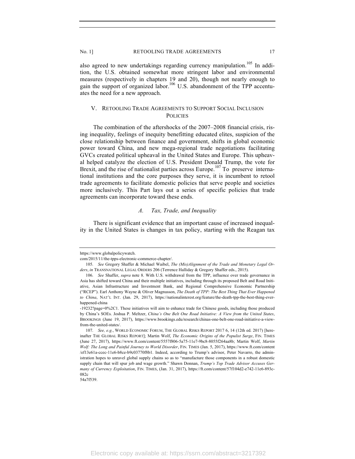also agreed to new undertakings regarding currency manipulation.<sup>105</sup> In addition, the U.S. obtained somewhat more stringent labor and environmental measures (respectively in chapters 19 and 20), though not nearly enough to gain the support of organized labor.<sup>106</sup> U.S. abandonment of the TPP accentuates the need for a new approach.

# V. RETOOLING TRADE AGREEMENTS TO SUPPORT SOCIAL INCLUSION **POLICIES**

The combination of the aftershocks of the 2007–2008 financial crisis, rising inequality, feelings of inequity benefitting educated elites, suspicion of the close relationship between finance and government, shifts in global economic power toward China, and new mega-regional trade negotiations facilitating GVCs created political upheaval in the United States and Europe. This upheaval helped catalyze the election of U.S. President Donald Trump, the vote for Brexit, and the rise of nationalist parties across Europe.<sup>107</sup> To preserve international institutions and the core purposes they serve, it is incumbent to retool trade agreements to facilitate domestic policies that serve people and societies more inclusively. This Part lays out a series of specific policies that trade agreements can incorporate toward these ends.

#### *A. Tax, Trade, and Inequality*

There is significant evidence that an important cause of increased inequality in the United States is changes in tax policy, starting with the Reagan tax

https://www.globalpolicywatch.

com/2015/11/the-tpps-electronic-commerce-chapter/.

<sup>105.</sup> *See* Gregory Shaffer & Michael Waibel, *The (Mis)Alignment of the Trade and Monetary Legal Orders*, *in* TRANSNATIONAL LEGAL ORDERS 206 (Terrence Halliday & Gregory Shaffer eds., 2015).

<sup>106.</sup> *See* Shaffer, *supra* note 8. With U.S. withdrawal from the TPP, influence over trade governance in Asia has shifted toward China and their multiple initiatives, including through its proposed Belt and Road Initiative, Asian Infrastructure and Investment Bank, and Regional Comprehensive Economic Partnership ("RCEP"). Earl Anthony Wayne & Oliver Magnusson, *The Death of TPP: The Best Thing That Ever Happened to China*, NAT'L INT. (Jan. 29, 2017), https://nationalinterest.org/feature/the-death-tpp-the-best-thing-everhappened-china

<sup>-19232?</sup>page=0%2C1. These initiatives will aim to enhance trade for Chinese goods, including those produced by China's SOEs. Joshua P. Meltzer, *China's One Belt One Road Initiative: A View from the United States*, BROOKINGS (June 19, 2017), https://www.brookings.edu/research/chinas-one-belt-one-road-initiative-a-viewfrom-the-united-states/.

<sup>107.</sup> *See, e.g.*, WORLD ECONOMIC FORUM, THE GLOBAL RISKS REPORT 2017 6, 14 (12th ed. 2017) [hereinafter THE GLOBAL RISKS REPORT]; Martin Wolf, *The Economic Origins of the Populist Surge*, FIN. TIMES (June 27, 2017), https://www.ft.com/content/5557f806-5a75-11e7-9bc8-8055f264aa8b; Martin Wolf, *Martin Wolf: The Long and Painful Journey to World Disorder*, FIN. TIMES (Jan. 5, 2017), https://www.ft.com/content /ef13e61a-ccec-11e6-b8ce-b9c03770f8b1. Indeed, according to Trump's advisor, Peter Navarro, the administration hopes to unravel global supply chains so as to "manufacture those components in a robust domestic supply chain that will spur job and wage growth." Shawn Donnan, *Trump's Top Trade Advisor Accuses Germany of Currency Exploitation*, FIN. TIMES, (Jan. 31, 2017), https://ft.com/content/57f104d2-e742-11e6-893c-082c

<sup>54</sup>a7f539.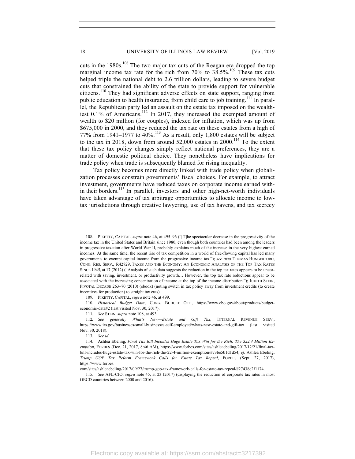cuts in the  $1980s$ .<sup>108</sup> The two major tax cuts of the Reagan era dropped the top marginal income tax rate for the rich from  $70\%$  to  $38.5\%$ .<sup>109</sup> These tax cuts helped triple the national debt to 2.6 trillion dollars, leading to severe budget cuts that constrained the ability of the state to provide support for vulnerable citizens.<sup>110</sup> They had significant adverse effects on state support, ranging from public education to health insurance, from child care to job training.<sup>111</sup> In parallel, the Republican party led an assault on the estate tax imposed on the wealthiest 0.1% of Americans.<sup>112</sup> In 2017, they increased the exempted amount of wealth to \$20 million (for couples), indexed for inflation, which was up from \$675,000 in 2000, and they reduced the tax rate on these estates from a high of 77% from 1941–1977 to  $40\%$ .<sup>113</sup> As a result, only 1,800 estates will be subject to the tax in 2018, down from around  $52,000$  estates in 2000.<sup>114</sup> To the extent that these tax policy changes simply reflect national preferences, they are a matter of domestic political choice. They nonetheless have implications for trade policy when trade is subsequently blamed for rising inequality.

Tax policy becomes more directly linked with trade policy when globalization processes constrain governments' fiscal choices. For example, to attract investment, governments have reduced taxes on corporate income earned within their borders.<sup>115</sup> In parallel, investors and other high-net-worth individuals have taken advantage of tax arbitrage opportunities to allocate income to lowtax jurisdictions through creative lawyering, use of tax havens, and tax secrecy

109. PIKETTY, CAPITAL, *supra* note 46, at 499.

110. *Historical Budget Data*, CONG. BUDGET OFF., https://www.cbo.gov/about/products/budgeteconomic-data#2 (last visited Nov. 30, 2017).

111*. See* STEIN, *supra* note 108, at 493.

112*. See generally What's New—Estate and Gift Tax*, INTERNAL REVENUE SERV., https://www.irs.gov/businesses/small-businesses-self-employed/whats-new-estate-and-gift-tax (last visited Nov. 30, 2018).

113. *See id.*

com/sites/ashleaebeling/2017/09/27/trump-gop-tax-framework-calls-for-estate-tax-repeal/#27438e2f1174.

115. *See* AFL-CIO, *supra* note 45, at 23 (2017) (displaying the reduction of corporate tax rates in most OECD countries between 2000 and 2016).

<sup>108.</sup> PIKETTY, CAPITAL, *supra* note 46, at 495–96 ("[T]he spectacular decrease in the progressivity of the income tax in the United States and Britain since 1980, even though both countries had been among the leaders in progressive taxation after World War II, probably explains much of the increase in the very highest earned incomes. At the same time, the recent rise of tax competition in a world of free-flowing capital has led many governments to exempt capital income from the progressive income tax."); *see also* THOMAS HUNGERFORD, CONG. RES. SERV., R42729, TAXES AND THE ECONOMY: AN ECONOMIC ANALYSIS OF THE TOP TAX RATES SINCE 1945, at 17 (2012) ("Analysis of such data suggests the reduction in the top tax rates appears to be uncorrelated with saving, investment, or productivity growth… However, the top tax rate reductions appear to be associated with the increasing concentration of income at the top of the income distribution."); JUDITH STEIN, PIVOTAL DECADE 263–70 (2010) (ebook) (noting switch in tax policy away from investment credits (to create incentives for production) to straight tax cuts).

<sup>114.</sup> Ashlea Ebeling, *Final Tax Bill Includes Huge Estate Tax Win for the Rich: The \$22.4 Million Exemption*, FORBES (Dec. 21, 2017, 8:46 AM), https://www.forbes.com/sites/ashleaebeling/2017/12/21/final-taxbill-includes-huge-estate-tax-win-for-the-rich-the-22-4-million-exemption/#73be5b1d1d54; *cf.* Ashlea Ebeling, *Trump GOP Tax Reform Framework Calls for Estate Tax Repeal*, FORBES (Sept. 27, 2017), https://www.forbes.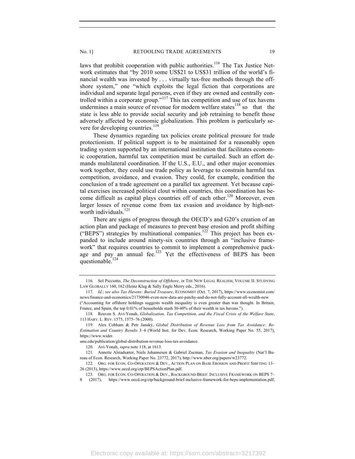laws that prohibit cooperation with public authorities.<sup>116</sup> The Tax Justice Network estimates that "by 2010 some US\$21 to US\$31 trillion of the world's financial wealth was invested by . . . virtually tax-free methods through the offshore system," one "which exploits the legal fiction that corporations are individual and separate legal persons, even if they are owned and centrally controlled within a corporate group."<sup>117</sup> This tax competition and use of tax havens undermines a main source of revenue for modern welfare states $^{118}$  so that the state is less able to provide social security and job retraining to benefit those adversely affected by economic globalization. This problem is particularly severe for developing countries.<sup>119</sup>

These dynamics regarding tax policies create political pressure for trade protectionism. If political support is to be maintained for a reasonably open trading system supported by an international institution that facilitates economic cooperation, harmful tax competition must be curtailed. Such an effort demands multilateral coordination. If the U.S., E.U., and other major economies work together, they could use trade policy as leverage to constrain harmful tax competition, avoidance, and evasion. They could, for example, condition the conclusion of a trade agreement on a parallel tax agreement. Yet because capital exercises increased political clout within countries, this coordination has become difficult as capital plays countries off of each other.<sup>120</sup> Moreover, even larger losses of revenue come from tax evasion and avoidance by high-networth individuals.<sup>121</sup>

There are signs of progress through the OECD's and G20's creation of an action plan and package of measures to prevent base erosion and profit shifting ("BEPS") strategies by multinational companies.<sup>122</sup> This project has been expanded to include around ninety-six countries through an "inclusive framework" that requires countries to commit to implement a comprehensive package and pay an annual fee. $123$  Yet the effectiveness of BEPS has been questionable. $124$ 

<sup>116.</sup> Sol Picciotto, *The Deconstruction of Offshore*, *in* THE NEW LEGAL REALISM, VOLUME II: STUDYING LAW GLOBALLY 160, 162 (Heinz Klug & Sally Engle Merry eds., 2016).

<sup>117.</sup> *Id.*; *see also Tax Havens: Buried Treasure*, ECONOMIST (Oct. 7, 2017), https://www.economist.com/ news/finance-and-economics/21730046-even-new-data-are-patchy-and-do-not-fully-account-all-wealth-new ("Accounting for offshore holdings suggests wealth inequality is even greater than was thought. In Britain, France, and Spain, the top 0.01% of households stash 30-40% of their wealth in tax havens.").

<sup>118.</sup> Reuven S. Avi-Yonah, *Globalization, Tax Competition, and the Fiscal Crisis of the Welfare State*, 113 HARV. L. REV. 1575, 1575–76 (2000).

<sup>119.</sup> Alex Cobham & Petr Janský, *Global Distribution of Revenue Loss from Tax Avoidance: Re-Estimation and Country Results* 3–4 (World Inst. for Dev. Econ. Research, Working Paper No. 55, 2017), https://www.wider.

unu.edu/publication/global-distribution-revenue-loss-tax-avoidance.

<sup>120.</sup> Avi-Yonah, *supra* note 118, at 1613.

<sup>121.</sup> Annette Alstadsæter, Niels Johannesen & Gabriel Zucman, *Tax Evasion and Inequality* (Nat'l Bureau of Econ. Research, Working Paper No. 23772, 2017), http://www.nber.org/papers/w23772.

<sup>122.</sup> ORG. FOR ECON. CO-OPERATION & DEV., ACTION PLAN ON BASE EROSION AND PROFIT SHIFTING 13-26 (2013), https://www.oecd.org/ctp/BEPSActionPlan.pdf.

<sup>123.</sup> ORG. FOR ECON. CO-OPERATION & DEV., BACKGROUND BRIEF: INCLUSIVE FRAMEWORK ON BEPS 7– 8 (2017), https://www.oecd.org/ctp/background-brief-inclusive-framework-for-beps-implementation.pdf;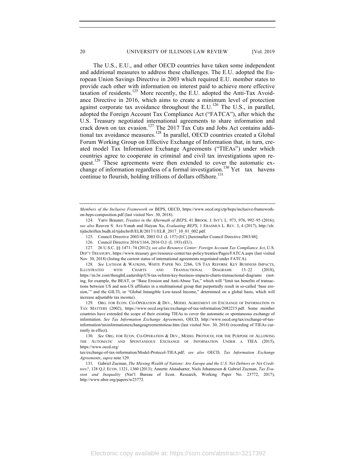The U.S., E.U., and other OECD countries have taken some independent and additional measures to address these challenges. The E.U. adopted the European Union Savings Directive in 2003 which required E.U. member states to provide each other with information on interest paid to achieve more effective taxation of residents.<sup>125</sup> More recently, the E.U. adopted the Anti-Tax Avoidance Directive in 2016, which aims to create a minimum level of protection against corporate tax avoidance throughout the E.U.<sup>126</sup> The U.S., in parallel, adopted the Foreign Account Tax Compliance Act ("FATCA"), after which the U.S. Treasury negotiated international agreements to share information and crack down on tax evasion.<sup>127</sup> The 2017 Tax Cuts and Jobs Act contains additional tax avoidance measures.<sup>128</sup> In parallel, OECD countries created a Global Forum Working Group on Effective Exchange of Information that, in turn, created model Tax Information Exchange Agreements ("TIEAs") under which countries agree to cooperate in criminal and civil tax investigations upon request.<sup>129</sup> These agreements were then extended to cover the automatic exchange of information regardless of a formal investigation.<sup>130</sup> Yet tax havens continue to flourish, holding trillions of dollars offshore.<sup>131</sup>

128. *See* LATHAM & WATKINS, WHITE PAPER NO. 2266, US TAX REFORM: KEY BUSINESS IMPACTS, ILLUSTRATED WITH CHARTS AND TRANSACTIONAL DIAGRAMS 13–22 (2018), https://m.lw.com/thoughtLeadership/US-tax-reform-key-business-impacts-charts-transactional-diagrams (noting, for example, the BEAT, or "Base Erosion and Anti-Abuse Tax," which will "limit tax benefits of transactions between US and non-US affiliates in a multinational group that purportedly result in so-called 'base erosion,'" and the GILTI, or "Global Intangible Low-taxed Income," determined on a global basis, which will increase adjustable tax income).

129. ORG. FOR ECON. CO-OPERATION & DEV., MODEL AGREEMENT ON EXCHANGE OF INFORMATION IN TAX MATTERS (2002), https://www.oecd.org/tax/exchange-of-tax-information/2082215.pdf. Some member countries have extended the scope of their existing TIEAs to cover the automatic or spontaneous exchange of information. *See Tax Information Exchange Agreements*, OECD, http://www.oecd.org/tax/exchange-of-taxinformation/taxinformationexchangeagreementstieas.htm (last visited Nov. 30, 2018) (recording of TIEAs currently in effect).

*Members of the Inclusive Framework on* BEPS, OECD, https://www.oecd.org/ctp/beps/inclusive-frameworkon-beps-composition.pdf (last visited Nov. 30, 2018).

<sup>124.</sup> Yariv Brauner, *Treaties in the Aftermath of BEPS*, 41 BROOK. J. INT'L L. 973, 976, 992–95 (2016); *see also* Reuven S. Avi-Yonah and Haiyan Xu, *Evaluating BEPS*, 1 ERASMUS L. REV. 3, 4 (2017), http://elr. tijdschriften.budh.nl/tijdschrift/ELR/2017/1/ELR\_2017\_10\_01\_002.pdf.

<sup>125.</sup> Council Directive 2003/48, 2003 O.J. (L 157) (EC) [hereinafter Council Directive 2003/48].

<sup>126.</sup> Council Directive 2016/1164, 2016 O.J. (L 193) (EU).

<sup>127.</sup> 26 U.S.C. §§ 1471–74 (2012); *see also Resource Center: Foreign Account Tax Compliance Act*, U.S. DEP'T TREASURY, https://www.treasury.gov/resource-center/tax-policy/treaties/Pages/FATCA.aspx (last visited Nov. 30, 2018) (listing the current status of international agreements negotiated under FATCA).

<sup>130.</sup> *See* ORG. FOR ECON. CO-OPERATION & DEV., MODEL PROTOCOL FOR THE PURPOSE OF ALLOWING THE AUTOMATIC AND SPONTANEOUS EXCHANGE OF INFORMATION UNDER A TIEA (2015), https://www.oecd.org/

tax/exchange-of-tax-information/Model-Protocol-TIEA.pdf; *see also* OECD, *Tax Information Exchange Agreements*, *supra* note 129.

<sup>131.</sup> Gabriel Zucman, *The Missing Wealth of Nations: Are Europe and the U.S. Net Debtors or Net Creditors?*, 128 Q.J. ECON. 1321, 1360 (2013); Annette Alstadsæter, Niels Johannesen & Gabriel Zucman, *Tax Evasion and Inequality* (Nat'l Bureau of Econ. Research, Working Paper No. 23772, 2017), http://www.nber.org/papers/w23772.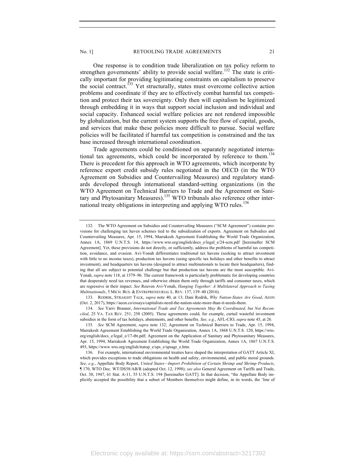One response is to condition trade liberalization on tax policy reform to strengthen governments' ability to provide social welfare.<sup>132</sup> The state is critically important for providing legitimating constraints on capitalism to preserve the social contract.<sup>133</sup> Yet structurally, states must overcome collective action problems and coordinate if they are to effectively combat harmful tax competition and protect their tax sovereignty. Only then will capitalism be legitimized through embedding it in ways that support social inclusion and individual and social capacity. Enhanced social welfare policies are not rendered impossible by globalization, but the current system supports the free flow of capital, goods, and services that make these policies more difficult to pursue. Social welfare policies will be facilitated if harmful tax competition is constrained and the tax base increased through international coordination.

Trade agreements could be conditioned on separately negotiated international tax agreements, which could be incorporated by reference to them.<sup>134</sup> There is precedent for this approach in WTO agreements, which incorporate by reference export credit subsidy rules negotiated in the OECD (in the WTO Agreement on Subsidies and Countervailing Measures) and regulatory standards developed through international standard-setting organizations (in the WTO Agreement on Technical Barriers to Trade and the Agreement on Sanitary and Phytosanitary Measures).<sup>135</sup> WTO tribunals also reference other international treaty obligations in interpreting and applying WTO rules.<sup>136</sup>

133. RODRIK, STRAIGHT TALK, *supra* note 40, at 13; Dani Rodrik, *Why Nation-States Are Good*, AEON (Oct. 2, 2017), https://aeon.co/essays/capitalists-need-the-nation-state-more-than-it-needs-them.

<sup>132.</sup> The WTO Agreement on Subsidies and Countervailing Measures ("SCM Agreement") contains provisions for challenging tax haven schemes tied to the subsidization of exports. Agreement on Subsidies and Countervailing Measures, Apr. 15, 1994, Marrakesh Agreement Establishing the World Trade Organization, Annex 1A, 1869 U.N.T.S. 14, https://www.wto.org/english/docs\_e/legal\_e/24-scm.pdf [hereinafter SCM Agreement]. Yet, these provisions do not directly, or sufficiently, address the problems of harmful tax competition, avoidance, and evasion. Avi-Yonah differentiates traditional tax havens (seeking to attract investment with little to no income taxes), production tax havens (using specific tax holidays and other benefits to attract investment), and headquarters tax havens (designed to attract multinationals to locate their headquarters), finding that all are subject to potential challenge but that production tax havens are the most susceptible. Avi-Yonah, *supra* note 118, at 1579–96. The current framework is particularly problematic for developing countries that desperately need tax revenues, and otherwise obtain them only through tariffs and consumer taxes, which are regressive in their impact. *See* Reuven Avi-Yonah, *Hanging Together: A Multilateral Approach to Taxing Multinationals*, 5 MICH. BUS. & ENTREPRENEURIAL L. REV. 137, 139–40 (2016).

<sup>134.</sup> *See* Yariv Brauner, *International Trade and Tax Agreements May Be Coordinated, but Not Reconciled*, 25 VA. TAX REV. 251, 258 (2005). These agreements could, for example, curtail wasteful investment subsidies in the form of tax holidays, abatements, and other benefits. *See, e.g.*, AFL-CIO, *supra* note 45, at 26.

<sup>135</sup>*. See* SCM Agreement, *supra* note 132; Agreement on Technical Barriers to Trade, Apr. 15, 1994, Marrakesh Agreement Establishing the World Trade Organization, Annex 1A, 1868 U.N.T.S. 120, https://wto. org/english/docs\_e/legal\_e/17-tbt.pdf; Agreement on the Application of Sanitary and Phytosanitary Measures, Apr. 15, 1994, Marrakesh Agreement Establishing the World Trade Organization, Annex 1A, 1867 U.N.T.S. 493, https://www.wto.org/english/tratop\_e/sps\_e/spsagr\_e.htm.

<sup>136.</sup> For example, international environmental treaties have shaped the interpretation of GATT Article XI, which provides exceptions to trade obligations on health and safety, environmental, and public moral grounds. *See, e.g.*, Appellate Body Report, *United States—Import Prohibition of Certain Shrimp and Shrimp Products*, ¶ 170, WTO Doc. WT/DS58/AB/R (adopted Oct. 12, 1998); *see also* General Agreement on Tariffs and Trade, Oct. 30, 1947, 61 Stat. A-11, 55 U.N.T.S. 194 [hereinafter GATT]. In that decision, "the Appellate Body implicitly accepted the possibility that a subset of Members themselves might define, in its words, the 'line of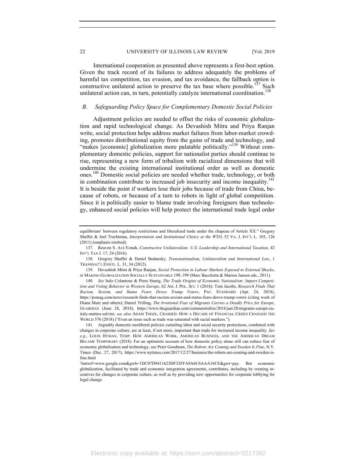International cooperation as presented above represents a first-best option. Given the track record of its failures to address adequately the problems of harmful tax competition, tax evasion, and tax avoidance, the fallback option is constructive unilateral action to preserve the tax base where possible.<sup>137</sup> Such unilateral action can, in turn, potentially catalyze international coordination.<sup>138</sup>

### *B. Safeguarding Policy Space for Complementary Domestic Social Policies*

Adjustment policies are needed to offset the risks of economic globalization and rapid technological change. As Devashish Mitra and Priya Ranjan write, social protection helps address market failures from labor-market crowding, promotes distributional equity from the gains of trade and technology, and "makes [economic] globalization more palatable politically."<sup>139</sup> Without complementary domestic policies, support for nationalist parties should continue to rise, representing a new form of tribalism with racialized dimensions that will undermine the existing international institutional order as well as domestic ones.<sup>140</sup> Domestic social policies are needed whether trade, technology, or both in combination contribute to increased job insecurity and income inequality.<sup>141</sup> It is beside the point if workers lose their jobs because of trade from China, because of robots, or because of a turn to robots in light of global competition. Since it is politically easier to blame trade involving foreigners than technology, enhanced social policies will help protect the international trade legal order

equilibrium' between regulatory restrictions and liberalized trade under the chapeau of Article XX." Gregory Shaffer & Joel Trachtman, *Interpretation and Institutional Choice at the WTO*, 52 VA. J. INT'L L. 103, 126 (2011) (emphasis omitted).

<sup>137.</sup> Reuven S. Avi-Yonah, *Constructive Unilateralism: U.S. Leadership and International Taxation,* 42 INT'L TAX J. 17, 24 (2016).

<sup>138.</sup> Gregory Shaffer & Daniel Bodansky, *Transnationalism, Unilateralism and International Law*, 1 TRANSNAT'L ENNTL. L. 31, 34 (2012).

<sup>139.</sup> Devashish Mitra & Priya Ranjan, *Social Protection in Labour Markets Exposed to External Shocks*, *in* MAKING GLOBALIZATION SOCIALLY SUSTAINABLE 199, 199 (Marc Bacchetta & Marion Jansen eds., 2011).

<sup>140</sup>*. See* Italo Colantone & Piero Stanig, *The Trade Origins of Economic Nationalism: Import Competition and Voting Behavior in Western Europe*, 62 AM. J. POL. SCI. 1 (2018); Tom Jacobs, *Research Finds That Racism, Sexism, and Status Fears Drove Trump Voters*, PAC. STANDARD (Apr. 24, 2018), https://psmag.com/news/research-finds-that-racism-sexism-and-status-fears-drove-trump-voters (citing work of Diana Mutz and others); Daniel Trilling, *The Irrational Fear of Migrants Carries a Deadly Price for Europe*, GUARDIAN (June 28, 2018), https://www.theguardian.com/commentisfree/2018/jun/28/migrants-europe-euitaly-matteo-salvini; *see also* ADAM TOOZE, CRASHED: HOW A DECADE OF FINANCIAL CRISES CHANGED THE WORLD 576 (2018) ("Even an issue such as trade was saturated with racial markers.").

<sup>141.</sup> Arguably domestic neoliberal policies curtailing labor and social security protections, combined with changes in corporate culture, are at least, if not more, important than trade for increased income inequality. *See e.g.*, LOUIS HYMAN, TEMP: HOW AMERICAN WORK, AMERICAN BUSINESS, AND THE AMERICAN DREAM BECAME TEMPORARY (2018). For an optimistic account of how domestic policy alone still can reduce fear of economic globalization and technology, see Peter Goodman, *The Robots Are Coming and Sweden Is Fine*, N.Y. Times (Dec. 27, 2017), https://www.nytimes.com/2017/12/27/business/the-robots-are-coming-and-sweden-isfine.html

<sup>?</sup>mtrref=www.google.com&gwh=1DC07D9411623DF32FFA9A6C6AAA16CE&gwt=pay. But economic globalization, facilitated by trade and economic integration agreements, contributes, including by creating incentives for changes in corporate culture, as well as by providing new opportunities for corporate lobbying for legal change.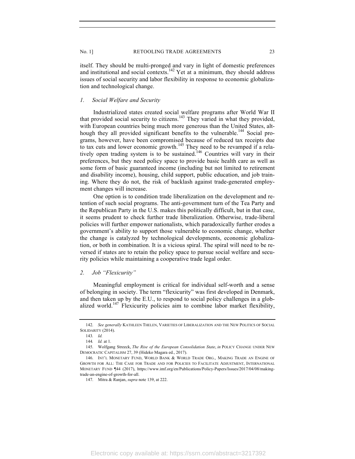itself. They should be multi-pronged and vary in light of domestic preferences and institutional and social contexts.<sup>142</sup> Yet at a minimum, they should address issues of social security and labor flexibility in response to economic globalization and technological change.

#### *1. Social Welfare and Security*

Industrialized states created social welfare programs after World War II that provided social security to citizens.<sup>143</sup> They varied in what they provided, with European countries being much more generous than the United States, although they all provided significant benefits to the vulnerable.<sup>144</sup> Social programs, however, have been compromised because of reduced tax receipts due to tax cuts and lower economic growth.<sup>145</sup> They need to be revamped if a relatively open trading system is to be sustained.<sup>146</sup> Countries will vary in their preferences, but they need policy space to provide basic health care as well as some form of basic guaranteed income (including but not limited to retirement and disability income), housing, child support, public education, and job training. Where they do not, the risk of backlash against trade-generated employment changes will increase.

One option is to condition trade liberalization on the development and retention of such social programs. The anti-government turn of the Tea Party and the Republican Party in the U.S. makes this politically difficult, but in that case, it seems prudent to check further trade liberalization. Otherwise, trade-liberal policies will further empower nationalists, which paradoxically further erodes a government's ability to support those vulnerable to economic change, whether the change is catalyzed by technological developments, economic globalization, or both in combination. It is a vicious spiral. The spiral will need to be reversed if states are to retain the policy space to pursue social welfare and security policies while maintaining a cooperative trade legal order.

#### *2. Job "Flexicurity"*

Meaningful employment is critical for individual self-worth and a sense of belonging in society. The term "flexicurity" was first developed in Denmark, and then taken up by the E.U., to respond to social policy challenges in a globalized world.<sup>147</sup> Flexicurity policies aim to combine labor market flexibility,

<sup>142.</sup> *See generally* KATHLEEN THELEN, VARIETIES OF LIBERALIZATION AND THE NEW POLITICS OF SOCIAL SOLIDARITY (2014).

<sup>143</sup>*. Id.*

<sup>144</sup>*. Id.* at 1.

<sup>145.</sup> Wolfgang Streeck, *The Rise of the European Consolidation State*, *in* POLICY CHANGE UNDER NEW DEMOCRATIC CAPITALISM 27, 39 (Hideko Magara ed., 2017).

<sup>146.</sup> INT'L MONETARY FUND, WORLD BANK & WORLD TRADE ORG., MAKING TRADE AN ENGINE OF GROWTH FOR ALL: THE CASE FOR TRADE AND FOR POLICIES TO FACILITATE ADJUSTMENT, INTERNATIONAL MONETARY FUND ¶44 (2017), https://www.imf.org/en/Publications/Policy-Papers/Issues/2017/04/08/makingtrade-an-engine-of-growth-for-all.

<sup>147.</sup> Mitra & Ranjan, *supra* note 139, at 222.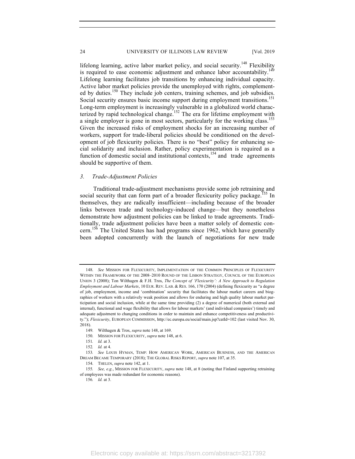lifelong learning, active labor market policy, and social security.<sup>148</sup> Flexibility is required to ease economic adjustment and enhance labor accountability.<sup>14</sup> Lifelong learning facilitates job transitions by enhancing individual capacity. Active labor market policies provide the unemployed with rights, complemented by duties.<sup>150</sup> They include job centers, training schemes, and job subsidies. Social security ensures basic income support during employment transitions.<sup>151</sup> Long-term employment is increasingly vulnerable in a globalized world characterized by rapid technological change.<sup>152</sup> The era for lifetime employment with a single employer is gone in most sectors, particularly for the working class.<sup>153</sup> Given the increased risks of employment shocks for an increasing number of workers, support for trade-liberal policies should be conditioned on the development of job flexicurity policies. There is no "best" policy for enhancing social solidarity and inclusion. Rather, policy experimentation is required as a function of domestic social and institutional contexts,  $154$  and trade agreements should be supportive of them.

#### *3. Trade-Adjustment Policies*

Traditional trade-adjustment mechanisms provide some job retraining and social security that can form part of a broader flexicurity policy package.<sup>155</sup> In themselves, they are radically insufficient—including because of the broader links between trade and technology-induced change—but they nonetheless demonstrate how adjustment policies can be linked to trade agreements. Traditionally, trade adjustment policies have been a matter solely of domestic concern.<sup>156</sup> The United States has had programs since 1962, which have generally been adopted concurrently with the launch of negotiations for new trade

<sup>148.</sup> *See* MISSION FOR FLEXICURITY, IMPLEMENTATION OF THE COMMON PRINCIPLES OF FLEXICURITY WITHIN THE FRAMEWORK OF THE 2008–2010 ROUND OF THE LISBON STRATEGY, COUNCIL OF THE EUROPEAN UNION 3 (2008); Ton Wilthagen & F.H. Tros, *The Concept of 'Flexicurity': A New Approach to Regulation Employment and Labour Markets*, 10 EUR. REV. LAB. & RES. 166, 170 (2004) (defining flexicurity as "a degree of job, employment, income and 'combination' security that facilitates the labour market careers and biographies of workers with a relatively weak position and allows for enduring and high quality labour market participation and social inclusion, while at the same time providing (2) a degree of numerical (both external and internal), functional and wage flexibility that allows for labour markets' (and individual companies') timely and adequate adjustment to changing conditions in order to maintain and enhance competitiveness and productivity."); *Flexicurity*, EUROPEAN COMMISSION, http://ec.europa.eu/social/main.jsp?catId=102 (last visited Nov. 30, 2018).

<sup>149.</sup> Wilthagen & Tros, *supra* note 148, at 169.

<sup>150.</sup> MISSION FOR FLEXICURITY, *supra* note 148, at 6.

<sup>151</sup>*. Id.* at 3.

<sup>152</sup>*. Id.* at 4.

<sup>153</sup>*. See* LOUIS HYMAN, TEMP: HOW AMERICAN WORK, AMERICAN BUSINESS, AND THE AMERICAN DREAM BECAME TEMPORARY (2018); THE GLOBAL RISKS REPORT, *supra* note 107, at 35.

<sup>154.</sup> THELEN, *supra* note 142, at 1.

<sup>155</sup>*. See, e.g.*, MISSION FOR FLEXICURITY, *supra* note 148, at 8 (noting that Finland supporting retraining of employees was made redundant for economic reasons).

<sup>156</sup>*. Id.* at 3.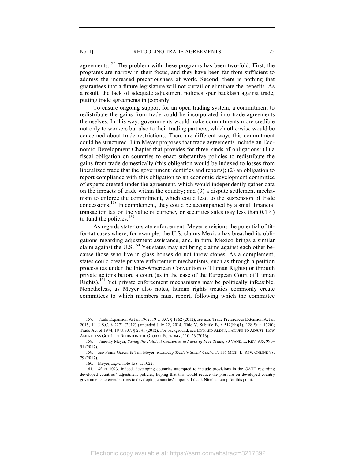agreements.<sup>157</sup> The problem with these programs has been two-fold. First, the programs are narrow in their focus, and they have been far from sufficient to address the increased precariousness of work. Second, there is nothing that guarantees that a future legislature will not curtail or eliminate the benefits. As a result, the lack of adequate adjustment policies spur backlash against trade, putting trade agreements in jeopardy.

To ensure ongoing support for an open trading system, a commitment to redistribute the gains from trade could be incorporated into trade agreements themselves. In this way, governments would make commitments more credible not only to workers but also to their trading partners, which otherwise would be concerned about trade restrictions. There are different ways this commitment could be structured. Tim Meyer proposes that trade agreements include an Economic Development Chapter that provides for three kinds of obligations: (1) a fiscal obligation on countries to enact substantive policies to redistribute the gains from trade domestically (this obligation would be indexed to losses from liberalized trade that the government identifies and reports); (2) an obligation to report compliance with this obligation to an economic development committee of experts created under the agreement, which would independently gather data on the impacts of trade within the country; and (3) a dispute settlement mechanism to enforce the commitment, which could lead to the suspension of trade concessions.<sup>158</sup> In complement, they could be accompanied by a small financial transaction tax on the value of currency or securities sales (say less than 0.1%) to fund the policies.<sup>159</sup>

As regards state-to-state enforcement, Meyer envisions the potential of titfor-tat cases where, for example, the U.S. claims Mexico has breached its obligations regarding adjustment assistance, and, in turn, Mexico brings a similar claim against the  $U.S.<sup>160</sup>$  Yet states may not bring claims against each other because those who live in glass houses do not throw stones. As a complement, states could create private enforcement mechanisms, such as through a petition process (as under the Inter-American Convention of Human Rights) or through private actions before a court (as in the case of the European Court of Human Rights).<sup>161</sup> Yet private enforcement mechanisms may be politically infeasible. Nonetheless, as Meyer also notes, human rights treaties commonly create committees to which members must report, following which the committee

<sup>157.</sup> Trade Expansion Act of 1962, 19 U.S.C. § 1862 (2012); *see also* Trade Preferences Extension Act of 2015, 19 U.S.C. § 2271 (2012) (amended July 22, 2014, Title V, Subtitle B, § 512(hh)(1), 128 Stat. 1720); Trade Act of 1974, 19 U.S.C. § 2341 (2012). For background, see EDWARD ALDEN, FAILURE TO ADJUST: HOW AMERICANS GOT LEFT BEHIND IN THE GLOBAL ECONOMY, 110–26 (2016).

<sup>158.</sup> Timothy Meyer, *Saving the Political Consensus in Favor of Free Trade*, 70 VAND. L. REV. 985, 990– 91 (2017).

<sup>159.</sup> *See* Frank Garcia & Tim Meyer, *Restoring Trade's Social Contract*, 116 MICH. L. REV. ONLINE 78, 79 (2017).

<sup>160.</sup> Meyer, *supra* note 158, at 1022.

<sup>161.</sup> *Id.* at 1023. Indeed, developing countries attempted to include provisions in the GATT regarding developed countries' adjustment policies, hoping that this would reduce the pressure on developed country governments to erect barriers to developing countries' imports. I thank Nicolas Lamp for this point.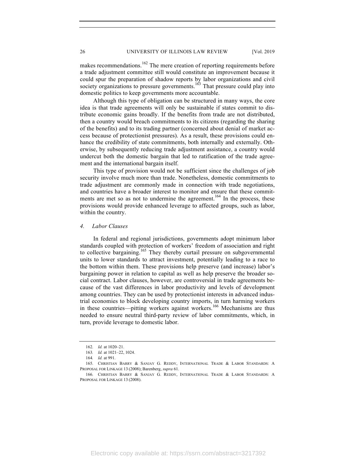makes recommendations.<sup>162</sup> The mere creation of reporting requirements before a trade adjustment committee still would constitute an improvement because it could spur the preparation of shadow reports by labor organizations and civil society organizations to pressure governments.<sup>163</sup> That pressure could play into domestic politics to keep governments more accountable.

Although this type of obligation can be structured in many ways, the core idea is that trade agreements will only be sustainable if states commit to distribute economic gains broadly. If the benefits from trade are not distributed, then a country would breach commitments to its citizens (regarding the sharing of the benefits) and to its trading partner (concerned about denial of market access because of protectionist pressures). As a result, these provisions could enhance the credibility of state commitments, both internally and externally. Otherwise, by subsequently reducing trade adjustment assistance, a country would undercut both the domestic bargain that led to ratification of the trade agreement and the international bargain itself.

This type of provision would not be sufficient since the challenges of job security involve much more than trade. Nonetheless, domestic commitments to trade adjustment are commonly made in connection with trade negotiations, and countries have a broader interest to monitor and ensure that these commitments are met so as not to undermine the agreement.<sup>164</sup> In the process, these provisions would provide enhanced leverage to affected groups, such as labor, within the country.

#### *4. Labor Clauses*

In federal and regional jurisdictions, governments adopt minimum labor standards coupled with protection of workers' freedom of association and right to collective bargaining.<sup>165</sup> They thereby curtail pressure on subgovernmental units to lower standards to attract investment, potentially leading to a race to the bottom within them. These provisions help preserve (and increase) labor's bargaining power in relation to capital as well as help preserve the broader social contract. Labor clauses, however, are controversial in trade agreements because of the vast differences in labor productivity and levels of development among countries. They can be used by protectionist interests in advanced industrial economies to block developing country imports, in turn harming workers in these countries—pitting workers against workers.<sup>166</sup> Mechanisms are thus needed to ensure neutral third-party review of labor commitments, which, in turn, provide leverage to domestic labor.

<sup>162.</sup> *Id.* at 1020–21.

<sup>163</sup>*. Id.* at 1021–22, 1024.

<sup>164</sup>*. Id.* at 991.

<sup>165.</sup> CHRISTIAN BARRY & SANJAY G. REDDY, INTERNATIONAL TRADE & LABOR STANDARDS: A PROPOSAL FOR LINKAGE 13 (2008); Barenberg, *supra* 61.

<sup>166.</sup> CHRISTIAN BARRY & SANJAY G. REDDY, INTERNATIONAL TRADE & LABOR STANDARDS: A PROPOSAL FOR LINKAGE 13 (2008).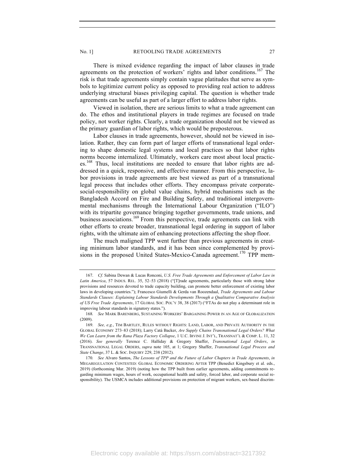No. 1] RETOOLING TRADE AGREEMENTS 27

There is mixed evidence regarding the impact of labor clauses in trade agreements on the protection of workers' rights and labor conditions.<sup>167</sup> The risk is that trade agreements simply contain vague platitudes that serve as symbols to legitimize current policy as opposed to providing real action to address underlying structural biases privileging capital. The question is whether trade agreements can be useful as part of a larger effort to address labor rights.

Viewed in isolation, there are serious limits to what a trade agreement can do. The ethos and institutional players in trade regimes are focused on trade policy, not worker rights. Clearly, a trade organization should not be viewed as the primary guardian of labor rights, which would be preposterous.

Labor clauses in trade agreements, however, should not be viewed in isolation. Rather, they can form part of larger efforts of transnational legal ordering to shape domestic legal systems and local practices so that labor rights norms become internalized. Ultimately, workers care most about local practices.<sup>168</sup> Thus, local institutions are needed to ensure that labor rights are addressed in a quick, responsive, and effective manner. From this perspective, labor provisions in trade agreements are best viewed as part of a transnational legal process that includes other efforts. They encompass private corporatesocial-responsibility on global value chains, hybrid mechanisms such as the Bangladesh Accord on Fire and Building Safety, and traditional intergovernmental mechanisms through the International Labour Organization ("ILO") with its tripartite governance bringing together governments, trade unions, and business associations.<sup>169</sup> From this perspective, trade agreements can link with other efforts to create broader, transnational legal ordering in support of labor rights, with the ultimate aim of enhancing protections affecting the shop floor.

The much maligned TPP went further than previous agreements in creating minimum labor standards, and it has been since complemented by provisions in the proposed United States-Mexico-Canada agreement.<sup>170</sup> TPP mem-

<sup>167.</sup> *Cf.* Sabina Dewan & Lucas Ronconi, *U.S. Free Trade Agreements and Enforcement of Labor Law in*  Latin America, 57 INDUS. REL. 35, 52-53 (2018) ("[T]rade agreements, particularly those with strong labor provisions and resources devoted to trade capacity building, can promote better enforcement of existing labor laws in developing countries."); Francesco Giumelli & Gerda van Roozendaal, *Trade Agreements and Labour Standards Clauses: Explaining Labour Standards Developments Through a Qualitative Comparative Analysis of US Free Trade Agreements*, 17 GLOBAL SOC. POL'Y 38, 38 (2017) ("FTAs do not play a determinant role in improving labour standards in signatory states.").

<sup>168</sup>*. See* MARK BARENBERG, SUSTAINING WORKERS' BARGAINING POWER IN AN AGE OF GLOBALIZATION (2009).

<sup>169.</sup> *See, e.g.*, TIM BARTLEY, RULES WITHOUT RIGHTS: LAND, LABOR, AND PRIVATE AUTHORITY IN THE GLOBAL ECONOMY 273–83 (2018); Larry Catá Backer, *Are Supply Chains Transnational Legal Orders? What We Can Learn from the Rana Plaza Factory Collapse*, 1 U.C. IRVINE J. INT'L, TRANSNAT'L & COMP. L. 11, 32 (2016). *See generally* Terence C. Halliday & Gregory Shaffer, *Transnational Legal Orders*, *in* TRANSNATIONAL LEGAL ORDERS, *supra* note 105, at 1; Gregory Shaffer, *Transnational Legal Process and State Change*, 37 L. & SOC. INQUIRY 229, 238 (2012).

<sup>170</sup>*. See* Alvaro Santos, *The Lessons of TPP and the Future of Labor Chapters in Trade Agreements*, *in* MEGAREGULATION CONTESTED: GLOBAL ECONOMIC ORDERING AFTER TPP (Benedict Kingsbury et al. eds., 2019) (forthcoming Mar. 2019) (noting how the TPP built from earlier agreements, adding commitments regarding minimum wages, hours of work, occupational health and safety, forced labor, and corporate social responsibility). The USMCA includes additional provisions on protection of migrant workers, sex-based discrim-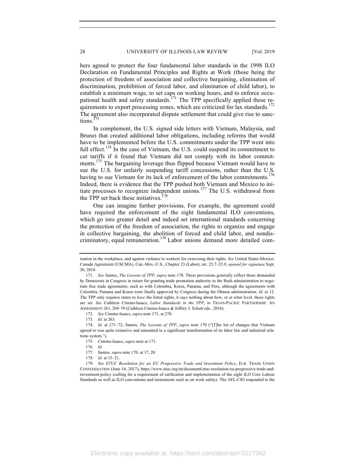bers agreed to protect the four fundamental labor standards in the 1998 ILO Declaration on Fundamental Principles and Rights at Work (those being the protection of freedom of association and collective bargaining, elimination of discrimination, prohibition of forced labor, and elimination of child labor), to establish a minimum wage, to set caps on working hours, and to enforce occupational health and safety standards.<sup> $171$ </sup> The TPP specifically applied these requirements to export processing zones, which are criticized for lax standards.<sup>172</sup> The agreement also incorporated dispute settlement that could give rise to sanctions.

In complement, the U.S. signed side letters with Vietnam, Malaysia, and Brunei that created additional labor obligations, including reforms that would have to be implemented before the U.S. commitments under the TPP went into full effect.<sup>174</sup> In the case of Vietnam, the U.S. could suspend its commitment to cut tariffs if it found that Vietnam did not comply with its labor commitments.<sup>175</sup> The bargaining leverage thus flipped because Vietnam would have to sue the U.S. for unfairly suspending tariff concessions, rather than the U.S. having to sue Vietnam for its lack of enforcement of the labor commitments.<sup>176</sup> Indeed, there is evidence that the TPP pushed both Vietnam and Mexico to initiate processes to recognize independent unions.177 The U.S. withdrawal from the TPP set back these initiatives. $178$ 

One can imagine further provisions. For example, the agreement could have required the enforcement of the eight fundamental ILO conventions, which go into greater detail and indeed set international standards concerning the protection of the freedom of association, the rights to organize and engage in collective bargaining, the abolition of forced and child labor, and nondiscriminatory, equal remuneration.<sup>179</sup> Labor unions demand more detailed com-

172*. See* Cimino-Isaacs, *supra* note 171, at 270.

ination in the workplace, and against violence to workers for exercising their rights. *See* United States-Mexico-Canada Agreement (USCMA), Can.-Mex.-U.S., Chapter 23 (Labor), art. 23.7–23.9, *opened for signature* Sept. 30, 2018.

<sup>171.</sup> *See* Santos, *The Lessons of TPP*, *supra* note 170. These provisions generally reflect those demanded by Democrats in Congress in return for granting trade promotion authority to the Bush administration to negotiate free trade agreements, such as with Colombia, Korea, Panama, and Peru, although the agreements with Colombia, Panama and Korea were finally approved by Congress during the Obama administration. *Id.* at 12. The TPP only requires states to *have* the listed rights; it says nothing about how, or at what level, those rights are set. *See* Cathleen Cimino-Isaacs, *Labor Standards in the TPP*, *in* TRANS-PACIFIC PARTNERSHIP: AN ASSESSMENT 261, 269–70 (Cathleen Cimino-Isaacs & Jeffery J. Schott eds., 2016).

<sup>173</sup>*. Id.* at 263.

<sup>174</sup>*. Id.* at 271–72; Santos, *The Lessons of TPP*, *supra* note 170 ("[T]he list of changes that Vietnam agreed to was quite extensive and amounted to a significant transformation of its labor law and industrial relations system.").

<sup>175.</sup> Cimino-Isaacs, *supra* note at 171.

<sup>176</sup>*. Id.*

<sup>177.</sup> Santos, *supra* note 170, at 17, 20.

<sup>178.</sup> *Id.* at 15–21.

<sup>179.</sup> *See ETUC Resolution for an EU Progressive Trade and Investment Policy*, EUR. TRADE UNION CONFEDERATION (June 16, 2017), https://www.etuc.org/en/document/etuc-resolution-eu-progressive-trade-andinvestment-policy (calling for a requirement of ratification and implementation of the eight ILO Core Labour Standards as well as ILO conventions and instruments such as on work safety). The AFL-CIO responded to the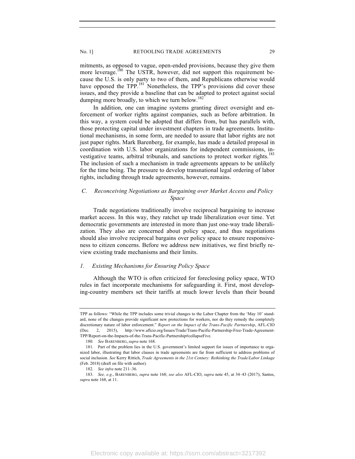mitments, as opposed to vague, open-ended provisions, because they give them more leverage.<sup>180</sup> The USTR, however, did not support this requirement because the U.S. is only party to two of them, and Republicans otherwise would have opposed the TPP.<sup>181</sup> Nonetheless, the TPP's provisions did cover these issues, and they provide a baseline that can be adapted to protect against social dumping more broadly, to which we turn below.<sup>182</sup>

In addition, one can imagine systems granting direct oversight and enforcement of worker rights against companies, such as before arbitration. In this way, a system could be adopted that differs from, but has parallels with, those protecting capital under investment chapters in trade agreements. Institutional mechanisms, in some form, are needed to assure that labor rights are not just paper rights. Mark Barenberg, for example, has made a detailed proposal in coordination with U.S. labor organizations for independent commissions, investigative teams, arbitral tribunals, and sanctions to protect worker rights.<sup>183</sup> The inclusion of such a mechanism in trade agreements appears to be unlikely for the time being. The pressure to develop transnational legal ordering of labor rights, including through trade agreements, however, remains.

# *C. Reconceiving Negotiations as Bargaining over Market Access and Policy Space*

Trade negotiations traditionally involve reciprocal bargaining to increase market access. In this way, they ratchet up trade liberalization over time. Yet democratic governments are interested in more than just one-way trade liberalization. They also are concerned about policy space, and thus negotiations should also involve reciprocal bargains over policy space to ensure responsiveness to citizen concerns. Before we address new initiatives, we first briefly review existing trade mechanisms and their limits.

#### *1. Existing Mechanisms for Ensuring Policy Space*

Although the WTO is often criticized for foreclosing policy space, WTO rules in fact incorporate mechanisms for safeguarding it. First, most developing-country members set their tariffs at much lower levels than their bound

TPP as follows: "While the TPP includes some trivial changes to the Labor Chapter from the 'May 10' standard, none of the changes provide significant new protections for workers, nor do they remedy the completely discretionary nature of labor enforcement." *Report on the Impact of the Trans-Pacific Partnership*, AFL-CIO (Dec. 2, 2015), http://www.aflcio.org/Issues/Trade/Trans-Pacific-Partnership-Free-Trade-Agreement-TPP/Report-on-the-Impacts-of-the-Trans-Pacific-Partnership#collapseFive.

<sup>180</sup>*. See* BARENBERG, *supra* note 168.

<sup>181.</sup> Part of the problem lies in the U.S. government's limited support for issues of importance to organized labor, illustrating that labor clauses in trade agreements are far from sufficient to address problems of social inclusion. *See* Kerry Rittich, *Trade Agreements in the 21st Century: Rethinking the Trade/Labor Linkage* (Feb. 2018) (draft on file with author).

<sup>182.</sup> *See infra* note 211–36.

<sup>183.</sup> *See, e.g.*, BARENBERG, *supra* note 168; *see also* AFL-CIO, *supra* note 45, at 34–43 (2017); Santos, *supra* note 168, at 11.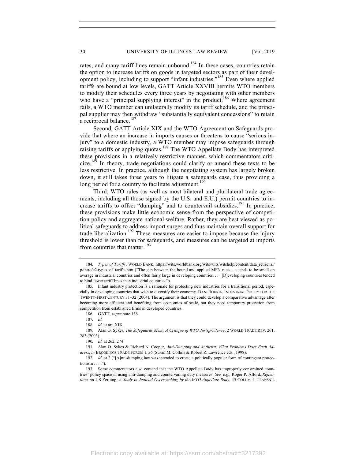rates, and many tariff lines remain unbound.<sup>184</sup> In these cases, countries retain the option to increase tariffs on goods in targeted sectors as part of their development policy, including to support "infant industries."185 Even where applied tariffs are bound at low levels, GATT Article XXVIII permits WTO members to modify their schedules every three years by negotiating with other members who have a "principal supplying interest" in the product.<sup>186</sup> Where agreement fails, a WTO member can unilaterally modify its tariff schedule, and the principal supplier may then withdraw "substantially equivalent concessions" to retain a reciprocal balance.<sup>187</sup>

Second, GATT Article XIX and the WTO Agreement on Safeguards provide that where an increase in imports causes or threatens to cause "serious injury" to a domestic industry, a WTO member may impose safeguards through raising tariffs or applying quotas.188 The WTO Appellate Body has interpreted these provisions in a relatively restrictive manner, which commentators criticize.<sup>189</sup> In theory, trade negotiations could clarify or amend these texts to be less restrictive. In practice, although the negotiating system has largely broken down, it still takes three years to litigate a safeguards case, thus providing a long period for a country to facilitate adjustment.<sup>1</sup>

Third, WTO rules (as well as most bilateral and plurilateral trade agreements, including all those signed by the U.S. and E.U.) permit countries to increase tariffs to offset "dumping" and to countervail subsidies.<sup>191</sup> In practice, these provisions make little economic sense from the perspective of competition policy and aggregate national welfare. Rather, they are best viewed as political safeguards to address import surges and thus maintain overall support for trade liberalization.<sup>192</sup> These measures are easier to impose because the injury threshold is lower than for safeguards, and measures can be targeted at imports from countries that matter.<sup>193</sup>

<sup>184</sup>*. Types of Tariffs*, WORLD BANK, https://wits.worldbank.org/wits/wits/witshelp/content/data\_retrieval/ p/intro/c2.types of tariffs.htm ("The gap between the bound and applied MFN rates . . . tends to be small on average in industrial countries and often fairly large in developing countries. . . . [D]eveloping countries tended to bind fewer tariff lines than industrial countries.").

<sup>185.</sup> Infant industry protection is a rationale for protecting new industries for a transitional period, especially in developing countries that wish to diversify their economy. DANI RODRIK, INDUSTRIAL POLICY FOR THE TWENTY-FIRST CENTURY 31–32 (2004). The argument is that they could develop a comparative advantage after becoming more efficient and benefiting from economies of scale, but they need temporary protection from competition from established firms in developed countries.

<sup>186.</sup> GATT, *supra* note 136.

<sup>187</sup>*. Id.*

<sup>188</sup>*. Id.* at art. XIX.

<sup>189.</sup> Alan O. Sykes, *The Safeguards Mess: A Critique of WTO Jurisprudence*, 2 WORLD TRADE REV. 261, 283 (2003).

<sup>190</sup>*. Id.* at 262, 274

<sup>191.</sup> Alan O. Sykes & Richard N. Cooper, *Anti-Dumping and Antitrust: What Problems Does Each Address*, *in* BROOKINGS TRADE FORUM 1, 36 (Susan M. Collins & Robert Z. Lawrence eds., 1998).

<sup>192.</sup> *Id.* at 2 ("[A]nti-dumping law was intended to create a politically popular form of contingent protectionism . . . .").

<sup>193.</sup> Some commentators also contend that the WTO Appellate Body has improperly constrained countries' policy space in using anti-dumping and countervailing duty measures. *See, e.g.*, Roger P. Alford, *Reflections on* US-Zeroing*: A Study in Judicial Overreaching by the WTO Appellate Body*, 45 COLUM. J. TRANSN'L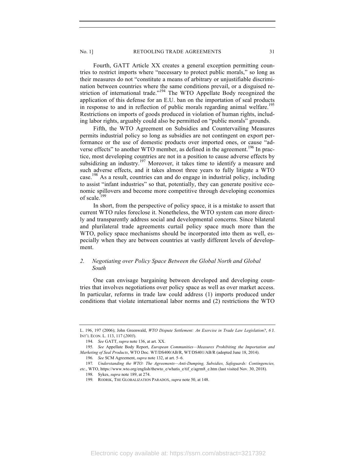Fourth, GATT Article XX creates a general exception permitting countries to restrict imports where "necessary to protect public morals," so long as their measures do not "constitute a means of arbitrary or unjustifiable discrimination between countries where the same conditions prevail, or a disguised restriction of international trade."<sup>194</sup> The WTO Appellate Body recognized the application of this defense for an E.U. ban on the importation of seal products in response to and in reflection of public morals regarding animal welfare.<sup>195</sup> Restrictions on imports of goods produced in violation of human rights, including labor rights, arguably could also be permitted on "public morals" grounds.

Fifth, the WTO Agreement on Subsidies and Countervailing Measures permits industrial policy so long as subsidies are not contingent on export performance or the use of domestic products over imported ones, or cause "adverse effects" to another WTO member, as defined in the agreement.<sup>196</sup> In practice, most developing countries are not in a position to cause adverse effects by subsidizing an industry.<sup>197</sup> Moreover, it takes time to identify a measure and such adverse effects, and it takes almost three years to fully litigate a WTO case. <sup>198</sup> As a result, countries can and do engage in industrial policy, including to assist "infant industries" so that, potentially, they can generate positive economic spillovers and become more competitive through developing economies of scale.<sup>199</sup>

In short, from the perspective of policy space, it is a mistake to assert that current WTO rules foreclose it. Nonetheless, the WTO system can more directly and transparently address social and developmental concerns. Since bilateral and plurilateral trade agreements curtail policy space much more than the WTO, policy space mechanisms should be incorporated into them as well, especially when they are between countries at vastly different levels of development.

# *2. Negotiating over Policy Space Between the Global North and Global South*

One can envisage bargaining between developed and developing countries that involves negotiations over policy space as well as over market access. In particular, reforms in trade law could address (1) imports produced under conditions that violate international labor norms and (2) restrictions the WTO

L. 196, 197 (2006); John Greenwald, *WTO Dispute Settlement: An Exercise in Trade Law Legislation?*, *6* J. INT'L ECON. L. 113, 117 (*2003*).

<sup>194.</sup> *See* GATT, *supra* note 136, at art. XX.

<sup>195.</sup> *See* Appellate Body Report, *European Communities—Measures Prohibiting the Importation and Marketing of Seal Products*, WTO Doc. WT/DS400/AB/R, WT/DS401/AB/R (adopted June 18, 2014).

<sup>196.</sup> *See* SCM Agreement, *supra* note 132, at art. 5–6.

<sup>197</sup>*. Understanding the WTO: The Agreements—Anti-Dumping, Subsidies, Safeguards: Contingencies, etc.*, WTO, https://www.wto.org/english/thewto\_e/whatis\_e/tif\_e/agrm8\_e.htm (last visited Nov. 30, 2018).

<sup>198.</sup> Sykes, *supra* note 189, at 274.

<sup>199.</sup> RODRIK, THE GLOBALIZATION PARADOX, *supra* note 50, at 148.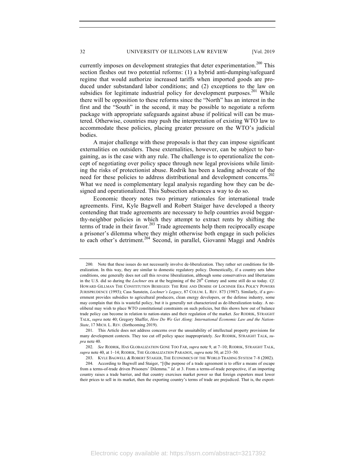currently imposes on development strategies that deter experimentation.<sup>200</sup> This section fleshes out two potential reforms: (1) a hybrid anti-dumping/safeguard regime that would authorize increased tariffs when imported goods are produced under substandard labor conditions; and (2) exceptions to the law on subsidies for legitimate industrial policy for development purposes.<sup>201</sup> While there will be opposition to these reforms since the "North" has an interest in the first and the "South" in the second, it may be possible to negotiate a reform package with appropriate safeguards against abuse if political will can be mustered. Otherwise, countries may push the interpretation of existing WTO law to accommodate these policies, placing greater pressure on the WTO's judicial bodies.

A major challenge with these proposals is that they can impose significant externalities on outsiders. These externalities, however, can be subject to bargaining, as is the case with any rule. The challenge is to operationalize the concept of negotiating over policy space through new legal provisions while limiting the risks of protectionist abuse. Rodrik has been a leading advocate of the need for these policies to address distributional and development concerns.<sup>202</sup> What we need is complementary legal analysis regarding how they can be designed and operationalized. This Subsection advances a way to do so.

Economic theory notes two primary rationales for international trade agreements. First, Kyle Bagwell and Robert Staiger have developed a theory contending that trade agreements are necessary to help countries avoid beggarthy-neighbor policies in which they attempt to extract rents by shifting the terms of trade in their favor. $203$  Trade agreements help them reciprocally escape a prisoner's dilemma where they might otherwise both engage in such policies to each other's detriment.<sup>204</sup> Second, in parallel, Giovanni Maggi and Andrés

<sup>200.</sup> Note that these issues do not necessarily involve de-liberalization. They rather set conditions for liberalization. In this way, they are similar to domestic regulatory policy. Domestically, if a country sets labor conditions, one generally does not call this reverse liberalization, although some conservatives and libertarians in the U.S. did so during the *Lochner* era at the beginning of the 20<sup>th</sup> Century and some still do so today. *Cf*. HOWARD GILLMAN THE CONSTITUTION BESIEGED: THE RISE AND DEMISE OF LOCHNER ERA POLICY POWERS JURISPRUDENCE (1993); Cass Sunstein, *Lochner's Legacy*, 87 COLUM. L. REV. 873 (1987). Similarly, if a government provides subsidies to agricultural producers, clean energy developers, or the defense industry, some may complain that this is wasteful policy, but it is generally not characterized as de-liberalization today. A neoliberal may wish to place WTO constitutional constraints on such policies, but this shows how out of balance trade policy can become in relation to nation-states and their regulation of the market. *See* RODRIK, STRAIGHT TALK, *supra* note 40; Gregory Shaffer, *How Do We Get Along: International Economic Law and the Nation-State*, 17 MICH. L. REV. (forthcoming 2019).

<sup>201.</sup> This Article does not address concerns over the unsuitability of intellectual property provisions for many development contexts. They too cut off policy space inappropriately. *See* RODRIK, STRAIGHT TALK, *supra* note 40.

<sup>202.</sup> *See* RODRIK, HAS GLOBALIZATION GONE TOO FAR, *supra* note 9, at 7–10; RODRIK, STRAIGHT TALK, *supra* note 40, at 1–14; RODRIK, THE GLOBALIZATION PARADOX, *supra* note 50, at 233–50.

<sup>203.</sup> KYLE BAGWELL & ROBERT STAIGER, THE ECONOMICS OF THE WORLD TRADING SYSTEM 7–8 (2002).

<sup>204.</sup> According to Bagwell and Staiger, "[t]he purpose of a trade agreement is to offer a means of escape from a terms-of-trade driven Prisoners' Dilemma." *Id.* at 3. From a terms-of-trade perspective, if an importing country raises a trade barrier, and that country exercises market power so that foreign exporters must lower their prices to sell in its market, then the exporting country's terms of trade are prejudiced. That is, the export-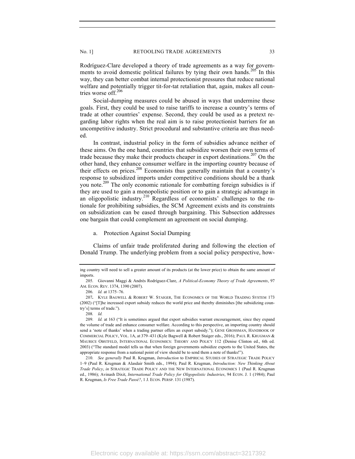Rodríguez-Clare developed a theory of trade agreements as a way for governments to avoid domestic political failures by tying their own hands.<sup>205</sup> In this way, they can better combat internal protectionist pressures that reduce national welfare and potentially trigger tit-for-tat retaliation that, again, makes all countries worse off.<sup>206</sup>

Social-dumping measures could be abused in ways that undermine these goals. First, they could be used to raise tariffs to increase a country's terms of trade at other countries' expense. Second, they could be used as a pretext regarding labor rights when the real aim is to raise protectionist barriers for an uncompetitive industry. Strict procedural and substantive criteria are thus needed.

In contrast, industrial policy in the form of subsidies advance neither of these aims. On the one hand, countries that subsidize worsen their own terms of trade because they make their products cheaper in export destinations.<sup>207</sup> On the other hand, they enhance consumer welfare in the importing country because of their effects on prices.<sup>208</sup> Economists thus generally maintain that a country's response to subsidized imports under competitive conditions should be a thank you note.<sup>209</sup> The only economic rationale for combatting foreign subsidies is if they are used to gain a monopolistic position or to gain a strategic advantage in an oligopolistic industry.<sup>210</sup> Regardless of economists' challenges to the rationale for prohibiting subsidies, the SCM Agreement exists and its constraints on subsidization can be eased through bargaining. This Subsection addresses one bargain that could complement an agreement on social dumping.

#### a. Protection Against Social Dumping

Claims of unfair trade proliferated during and following the election of Donald Trump. The underlying problem from a social policy perspective, how-

ing country will need to sell a greater amount of its products (at the lower price) to obtain the same amount of imports.

<sup>205.</sup> Giovanni Maggi & Andrés Rodríguez-Clare, *A Political-Economy Theory of Trade Agreements*, 97 AM. ECON. REV. 1374, 1390 (2007).

<sup>206.</sup> *Id.* at 1375–76.

<sup>207</sup>**.** KYLE BAGWELL & ROBERT W. STAIGER, THE ECONOMICS OF THE WORLD TRADING SYSTEM 173 (2002) ("[T]he increased export subsidy reduces the world price and thereby diminishes [the subsidizing country's] terms of trade.").

<sup>208</sup>*. Id.*

<sup>209.</sup> *Id.* at 163 ("It is sometimes argued that export subsidies warrant encouragement, since they expand the volume of trade and enhance consumer welfare. According to this perspective, an importing country should send a 'note of thanks' when a trading partner offers an export subsidy."); GENE GROSSMAN, HANDBOOK OF COMMERCIAL POLICY, VOL. 1A, at 379–431 (Kyle Bagwell & Robert Staiger eds., 2016); PAUL R. KRUGMAN & MAURICE OBSTFELD, INTERNATIONAL ECONOMICS: THEORY AND POLICY 112 (Denise Clinton ed., 6th ed. 2003) ("The standard model tells us that when foreign governments subsidize exports to the United States, the appropriate response from a national point of view should be to send them a note of thanks!").

<sup>210.</sup> *See generally* Paul R. Krugman, *Introduction* to EMPIRICAL STUDIES OF STRATEGIC TRADE POLICY 1–9 (Paul R. Krugman & Alasdair Smith eds., 1994); Paul R. Krugman, *Introduction: New Thinking About Trade Policy*, *in* STRATEGIC TRADE POLICY AND THE NEW INTERNATIONAL ECONOMICS 1 (Paul R. Krugman ed., 1986); Avinash Dixit, *International Trade Policy for Oligopolistic Industries*, 94 ECON. J. 1 (1984); Paul R. Krugman, *Is Free Trade Passé?*, 1 J. ECON. PERSP. 131 (1987).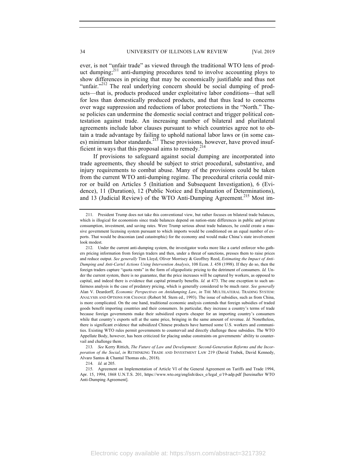ever, is not "unfair trade" as viewed through the traditional WTO lens of product dumping;<sup>211</sup> anti-dumping procedures tend to involve accounting ploys to show differences in pricing that may be economically justifiable and thus not "unfair."<sup>212</sup> The real underlying concern should be social dumping of products—that is, products produced under exploitative labor conditions—that sell for less than domestically produced products, and that thus lead to concerns over wage suppression and reductions of labor protections in the "North." These policies can undermine the domestic social contract and trigger political contestation against trade. An increasing number of bilateral and plurilateral agreements include labor clauses pursuant to which countries agree not to obtain a trade advantage by failing to uphold national labor laws or (in some cases) minimum labor standards.<sup>213</sup> These provisions, however, have proved insufficient in ways that this proposal aims to remedy. $214$ 

If provisions to safeguard against social dumping are incorporated into trade agreements, they should be subject to strict procedural, substantive, and injury requirements to combat abuse. Many of the provisions could be taken from the current WTO anti-dumping regime. The procedural criteria could mirror or build on Articles 5 (Initiation and Subsequent Investigation), 6 (Evidence), 11 (Duration), 12 (Public Notice and Explanation of Determinations), and 13 (Judicial Review) of the WTO Anti-Dumping Agreement.<sup>215</sup> Most im-

213*. See* Kerry Rittich, *The Future of Law and Development: Second-Generation Reforms and the Incorporation of the Social*, *in* RETHINKING TRADE AND INVESTMENT LAW 219 (David Trubek, David Kennedy, Alvaro Santos & Chantal Thomas eds., 2018).

214. *Id.* at 205.

<sup>211.</sup> President Trump does not take this conventional view, but rather focuses on bilateral trade balances, which is illogical for economists since trade balances depend on nation-state differences in public and private consumption, investment, and saving rates. Were Trump serious about trade balances, he could create a massive government licensing system pursuant to which imports would be conditioned on an equal number of exports. That would be draconian (and catastrophic) for the economy and would make China's state involvement look modest.

<sup>212.</sup> Under the current anti-dumping system, the investigator works more like a cartel enforcer who gathers pricing information from foreign traders and then, under a threat of sanctions, presses them to raise prices and reduce output. *See generally* Tim Lloyd, Oliver Morrisey & Geoffrey Reed, *Estimating the Impact of Anti-Dumping and Anti-Cartel Actions Using Intervention Analysis*, 108 Econ. J. 458 (1998). If they do so, then the foreign traders capture "quota rents" in the form of oligopolistic pricing to the detriment of consumers. *Id.* Under the current system, there is no guarantee, that the price increases will be captured by workers, as opposed to capital, and indeed there is evidence that capital primarily benefits. *Id.* at 473. The one exception to such unfairness analysis is the case of predatory pricing, which is generally considered to be much rarer. *See generally* Alan V. Deardorff, *Economic Perspectives on Antidumping Law*, *in* THE MULTILATERAL TRADING SYSTEM: ANALYSIS AND OPTIONS FOR CHANGE (Robert M. Stern ed., 1993). The issue of subsidies, such as from China, is more complicated. On the one hand, traditional economic analysis contends that foreign subsidies of traded goods benefit importing countries and their consumers. In particular, they increase a country's terms of trade because foreign governments make their subsidized exports cheaper for an importing country's consumers while that country's exports sell at the same price, bringing in the same amount of revenue. *Id.* Nonetheless, there is significant evidence that subsidized Chinese products have harmed some U.S. workers and communities. Existing WTO rules permit governments to countervail and directly challenge these subsidies. The WTO Appellate Body, however, has been criticized for placing undue constraints on governments' ability to countervail and challenge them.

<sup>215.</sup> Agreement on Implementation of Article VI of the General Agreement on Tariffs and Trade 1994, Apr. 15, 1994, 1868 U.N.T.S. 201, https://www.wto.org/english/docs\_e/legal\_e/19-adp.pdf [hereinafter WTO Anti-Dumping Agreement].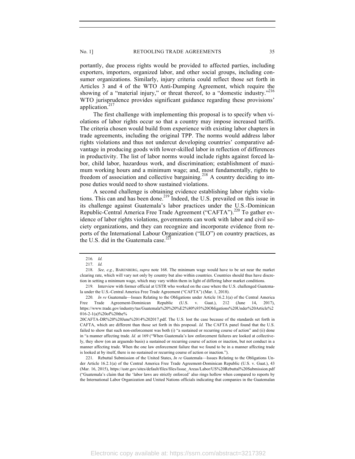portantly, due process rights would be provided to affected parties, including exporters, importers, organized labor, and other social groups, including consumer organizations. Similarly, injury criteria could reflect those set forth in Articles 3 and 4 of the WTO Anti-Dumping Agreement, which require the showing of a "material injury," or threat thereof, to a "domestic industry."<sup>216</sup> WTO jurisprudence provides significant guidance regarding these provisions' application.<sup>217</sup>

The first challenge with implementing this proposal is to specify when violations of labor rights occur so that a country may impose increased tariffs. The criteria chosen would build from experience with existing labor chapters in trade agreements, including the original TPP. The norms would address labor rights violations and thus not undercut developing countries' comparative advantage in producing goods with lower-skilled labor in reflection of differences in productivity. The list of labor norms would include rights against forced labor, child labor, hazardous work, and discrimination; establishment of maximum working hours and a minimum wage; and, most fundamentally, rights to freedom of association and collective bargaining.<sup>218</sup> A country deciding to impose duties would need to show sustained violations.

A second challenge is obtaining evidence establishing labor rights violations. This can and has been done.<sup>219</sup> Indeed, the U.S. prevailed on this issue in its challenge against Guatemala's labor practices under the U.S.-Dominican Republic-Central America Free Trade Agreement ("CAFTA").<sup>220</sup> To gather evidence of labor rights violations, governments can work with labor and civil society organizations, and they can recognize and incorporate evidence from reports of the International Labour Organization ("ILO") on country practices, as the U.S. did in the Guatemala case. $^{221}$ 

<sup>216</sup>*. Id.*

<sup>217.</sup> *Id.*

<sup>218.</sup> *See, e.g.*, BARENBERG, *supra* note 168. The minimum wage would have to be set near the market clearing rate, which will vary not only by country but also within countries. Countries should thus have discretion in setting a minimum wage, which may vary within them in light of differing labor market conditions.

<sup>219.</sup> Interview with former official at USTR who worked on the case where the U.S. challenged Guatemala under the U.S.-Central America Free Trade Agreement ("CAFTA") (Mar. 1, 2018).

<sup>220.</sup> *In re* Guatemala—Issues Relating to the Obligations under Article 16.2.1(a) of the Central America Free Trade Agreement-Dominican Republic (U.S. v. Guat.), 212 (June 14, 2017), https://www.trade.gov/industry/tas/Guatemala%20%20%E2%80%93%20Obligations%20Under%20Article%2 016-2-1(a)%20of%20the%

<sup>20</sup>CAFTA-DR%20%20June%2014%202017.pdf. The U.S. lost the case because of the standards set forth in CAFTA, which are different than those set forth in this proposal. *Id.* The CAFTA panel found that the U.S. failed to show that such non-enforcement was both (i) "a sustained or recurring course of action" and (ii) done in "a manner affecting trade. *Id.* at 169 ("When Guatemala's law enforcement failures are looked at collectively, they show (on an arguendo basis) a sustained or recurring course of action or inaction, but not conduct in a manner affecting trade. When the one law enforcement failure that we found to be in a manner affecting trade is looked at by itself, there is no sustained or recurring course of action or inaction.").

<sup>221.</sup> Rebuttal Submission of the United States, *In re* Guatemala—Issues Relating to the Obligations Under Article 16.2.1(a) of the Central America Free Trade Agreement-Dominican Republic (U.S. v. Guat.), 43 (Mar. 16, 2015), https://ustr.gov/sites/default/files/files/Issue\_Areas/Labor/US%20Rebuttal%20Submission.pdf ("Guatemala's claim that the 'labor laws are strictly enforced' also rings hollow when compared to reports by the International Labor Organization and United Nations officials indicating that companies in the Guatemalan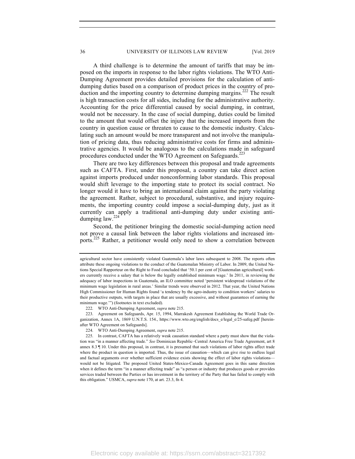A third challenge is to determine the amount of tariffs that may be imposed on the imports in response to the labor rights violations. The WTO Anti-Dumping Agreement provides detailed provisions for the calculation of antidumping duties based on a comparison of product prices in the country of production and the importing country to determine dumping margins.<sup>222</sup> The result is high transaction costs for all sides, including for the administrative authority. Accounting for the price differential caused by social dumping, in contrast, would not be necessary. In the case of social dumping, duties could be limited to the amount that would offset the injury that the increased imports from the country in question cause or threaten to cause to the domestic industry. Calculating such an amount would be more transparent and not involve the manipulation of pricing data, thus reducing administrative costs for firms and administrative agencies. It would be analogous to the calculations made in safeguard procedures conducted under the WTO Agreement on Safeguards.<sup>223</sup>

There are two key differences between this proposal and trade agreements such as CAFTA. First, under this proposal, a country can take direct action against imports produced under nonconforming labor standards. This proposal would shift leverage to the importing state to protect its social contract. No longer would it have to bring an international claim against the party violating the agreement. Rather, subject to procedural, substantive, and injury requirements, the importing country could impose a social-dumping duty, just as it currently can apply a traditional anti-dumping duty under existing antidumping law. $224$ 

Second, the petitioner bringing the domestic social-dumping action need not prove a causal link between the labor rights violations and increased imports.<sup>225</sup> Rather, a petitioner would only need to show a correlation between

222. WTO Anti-Dumping Agreement, *supra* note 215.

223. Agreement on Safeguards, Apr. 15, 1994, Marrakesh Agreement Establishing the World Trade Organization, Annex 1A, 1869 U.N.T.S. 154., https://www.wto.org/english/docs\_e/legal\_e/25-safeg.pdf [hereinafter WTO Agreement on Safeguards].

224. WTO Anti-Dumping Agreement, *supra* note 215.

agricultural sector have consistently violated Guatemala's labor laws subsequent to 2008. The reports often attribute these ongoing violations to the conduct of the Guatemalan Ministry of Labor. In 2009, the United Nations Special Rapporteur on the Right to Food concluded that '50.1 per cent of [Guatemalan agricultural] workers currently receive a salary that is below the legally established minimum wage.' In 2011, in reviewing the adequacy of labor inspections in Guatemala, an ILO committee noted 'persistent widespread violations of the minimum wage legislation in rural areas.' Similar trends were observed in 2012. That year, the United Nations High Commissioner for Human Rights found 'a tendency by the agro-industry to condition workers' salaries to their productive outputs, with targets in place that are usually excessive, and without guarantees of earning the minimum wage.'") (footnotes in text excluded).

<sup>225.</sup> In contrast, CAFTA has a relatively weak causation standard where a party must show that the violation was "in a manner affecting trade." *See* Dominican Republic–Central America Free Trade Agreement, art 8 annex 8.3 ¶ 10. Under this proposal, in contrast, it is presumed that such violations of labor rights affect trade where the product in question is imported. Thus, the issue of causation—which can give rise to endless legal and factual arguments over whether sufficient evidence exists showing the effect of labor rights violations would not be litigated. The proposed United States-Mexico-Canada Agreement goes in this same direction when it defines the term "in a manner affecting trade" as "a person or industry that produces goods or provides services traded between the Parties or has investment in the territory of the Party that has failed to comply with this obligation." USMCA, *supra* note 170, at art. 23.3, fn 4.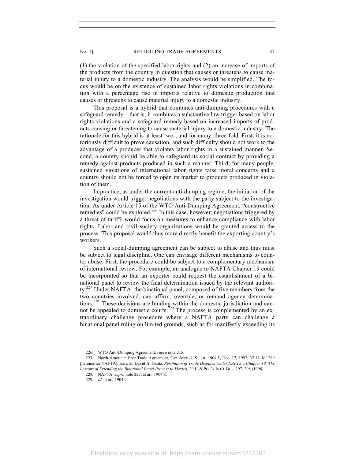(1) the violation of the specified labor rights and (2) an increase of imports of the products from the country in question that causes or threatens to cause material injury to a domestic industry. The analysis would be simplified. The focus would be on the existence of sustained labor rights violations in combination with a percentage rise in imports relative to domestic production that causes or threatens to cause material injury to a domestic industry.

This proposal is a hybrid that combines anti-dumping procedures with a safeguard remedy—that is, it combines a substantive law trigger based on labor rights violations and a safeguard remedy based on increased imports of products causing or threatening to cause material injury to a domestic industry. The rationale for this hybrid is at least two-, and for many, three-fold. First, it is notoriously difficult to prove causation, and such difficulty should not work to the advantage of a producer that violates labor rights in a sustained manner. Second, a country should be able to safeguard its social contract by providing a remedy against products produced in such a manner. Third, for many people, sustained violations of international labor rights raise moral concerns and a country should not be forced to open its market to products produced in violation of them.

In practice, as under the current anti-dumping regime, the initiation of the investigation would trigger negotiations with the party subject to the investigation. As under Article 15 of the WTO Anti-Dumping Agreement, "constructive remedies" could be explored.<sup>226</sup> In this case, however, negotiations triggered by a threat of tariffs would focus on measures to enhance compliance with labor rights. Labor and civil society organizations would be granted access to the process. This proposal would thus more directly benefit the exporting country's workers.

Such a social-dumping agreement can be subject to abuse and thus must be subject to legal discipline. One can envisage different mechanisms to counter abuse. First, the procedure could be subject to a complementary mechanism of international review. For example, an analogue to NAFTA Chapter 19 could be incorporated so that an exporter could request the establishment of a binational panel to review the final determination issued by the relevant authority.<sup>227</sup> Under NAFTA, the binational panel, composed of five members from the two countries involved, can affirm, overrule, or remand agency determinations.<sup>228</sup> These decisions are binding within the domestic jurisdiction and cannot be appealed to domestic courts.<sup>229</sup> The process is complemented by an extraordinary challenge procedure where a NAFTA party can challenge a binational panel ruling on limited grounds, such as for manifestly exceeding its

<sup>226.</sup> WTO Anti-Dumping Agreement, *supra* note 215.

<sup>227.</sup> North American Free Trade Agreement, Can.-Mex.-U.S., art. 1904.5, Dec. 17, 1992, 32 I.L.M. 289 [hereinafter NAFTA]; *see also* David A. Gantz, *Resolution of Trade Disputes Under NAFTA's Chapter 19: The Lessons of Extending the Binational Panel Process to Mexico*, 29 L. & POL'Y INT'L BUS. 297, 298 (1998).

<sup>228.</sup> NAFTA, *supra* note 227, at art. 1904.8.

<sup>229</sup>*. Id.* at art. 1904.9.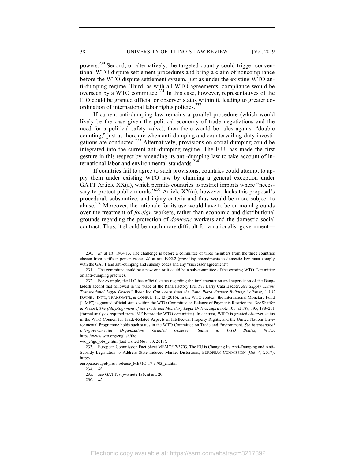powers.<sup>230</sup> Second, or alternatively, the targeted country could trigger conventional WTO dispute settlement procedures and bring a claim of noncompliance before the WTO dispute settlement system, just as under the existing WTO anti-dumping regime. Third, as with all WTO agreements, compliance would be overseen by a WTO committee.<sup>231</sup> In this case, however, representatives of the ILO could be granted official or observer status within it, leading to greater coordination of international labor rights policies.<sup>232</sup>

If current anti-dumping law remains a parallel procedure (which would likely be the case given the political economy of trade negotiations and the need for a political safety valve), then there would be rules against "double counting," just as there are when anti-dumping and countervailing-duty investigations are conducted.<sup>233</sup> Alternatively, provisions on social dumping could be integrated into the current anti-dumping regime. The E.U. has made the first gesture in this respect by amending its anti-dumping law to take account of international labor and environmental standards.<sup>23</sup>

If countries fail to agree to such provisions, countries could attempt to apply them under existing WTO law by claiming a general exception under GATT Article XX(a), which permits countries to restrict imports where "necessary to protect public morals.<sup> $235$ </sup> Article XX(a), however, lacks this proposal's procedural, substantive, and injury criteria and thus would be more subject to abuse.<sup>236</sup> Moreover, the rationale for its use would have to be on moral grounds over the treatment of *foreign* workers, rather than economic and distributional grounds regarding the protection of *domestic* workers and the domestic social contract. Thus, it should be much more difficult for a nationalist government—

236*. Id.*

<sup>230.</sup> *Id.* at art. 1904.13. The challenge is before a committee of three members from the three countries chosen from a fifteen-person roster. *Id.* at art. 1902.2 (providing amendments to domestic law must comply with the GATT and anti-dumping and subsidy codes and any "successor agreement").

<sup>231.</sup> The committee could be a new one or it could be a sub-committee of the existing WTO Committee on anti-dumping practices.

<sup>232.</sup> For example, the ILO has official status regarding the implementation and supervision of the Bangladesh accord that followed in the wake of the Rana Factory fire. *See* Larry Catá Backer, *Are Supply Chains Transnational Legal Orders? What We Can Learn from the Rana Plaza Factory Building Collapse*, 1 UC IRVINE J. INT'L, TRANSNAT'L, & COMP. L. 11, 13 (2016). In the WTO context, the International Monetary Fund ("IMF") is granted official status within the WTO Committee on Balance of Payments Restrictions. *See* Shaffer & Waibel, *The (Mis)Alignment of the Trade and Monetary Legal Orders*, *supra* note 105, at 187, 195, 198–201 (formal analysis required from IMF before the WTO committee). In contrast, WIPO is granted observer status in the WTO Council for Trade-Related Aspects of Intellectual Property Rights, and the United Nations Environmental Programme holds such status in the WTO Committee on Trade and Environment. *See International Intergovernmental Organizations Granted Observer Status to WTO Bodies*, WTO, https://www.wto.org/english/the

wto e/igo obs e.htm (last visited Nov. 30, 2018).

<sup>233.</sup> European Commission Fact Sheet MEMO/17/3703, The EU is Changing Its Anti-Dumping and Anti-Subsidy Legislation to Address State Induced Market Distortions, EUROPEAN COMMISSION (Oct. 4, 2017), http://

europa.eu/rapid/press-release\_MEMO-17-3703\_en.htm.

<sup>234.</sup> *Id.*

<sup>235.</sup> *See* GATT, *supra* note 136, at art. 20.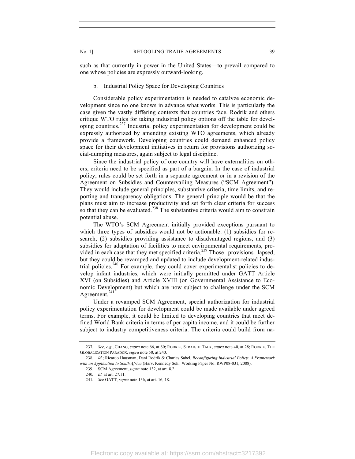such as that currently in power in the United States—to prevail compared to one whose policies are expressly outward-looking.

#### b. Industrial Policy Space for Developing Countries

Considerable policy experimentation is needed to catalyze economic development since no one knows in advance what works. This is particularly the case given the vastly differing contexts that countries face. Rodrik and others critique WTO rules for taking industrial policy options off the table for developing countries.<sup>237</sup> Industrial policy experimentation for development could be expressly authorized by amending existing WTO agreements, which already provide a framework. Developing countries could demand enhanced policy space for their development initiatives in return for provisions authorizing social-dumping measures, again subject to legal discipline.

Since the industrial policy of one country will have externalities on others, criteria need to be specified as part of a bargain. In the case of industrial policy, rules could be set forth in a separate agreement or in a revision of the Agreement on Subsidies and Countervailing Measures ("SCM Agreement"). They would include general principles, substantive criteria, time limits, and reporting and transparency obligations. The general principle would be that the plans must aim to increase productivity and set forth clear criteria for success so that they can be evaluated.<sup>238</sup> The substantive criteria would aim to constrain potential abuse.

The WTO's SCM Agreement initially provided exceptions pursuant to which three types of subsidies would not be actionable: (1) subsidies for research, (2) subsidies providing assistance to disadvantaged regions, and (3) subsidies for adaptation of facilities to meet environmental requirements, provided in each case that they met specified criteria.<sup>239</sup> Those provisions lapsed, but they could be revamped and updated to include development-related industrial policies.<sup>240</sup> For example, they could cover experimentalist policies to develop infant industries, which were initially permitted under GATT Article XVI (on Subsidies) and Article XVIII (on Governmental Assistance to Economic Development) but which are now subject to challenge under the SCM Agreement.<sup>241</sup>

Under a revamped SCM Agreement, special authorization for industrial policy experimentation for development could be made available under agreed terms. For example, it could be limited to developing countries that meet defined World Bank criteria in terms of per capita income, and it could be further subject to industry competitiveness criteria. The criteria could build from na-

<sup>237.</sup> *See, e.g.*, CHANG, *supra* note 66, at 60; RODRIK, STRAIGHT TALK, *supra* note 40, at 28; RODRIK, THE GLOBALIZATION PARADOX, *supra* note 50, at 240.

<sup>238.</sup> *Id.*; Ricardo Hausman, Dani Rodrik & Charles Sabel, *Reconfiguring Industrial Policy: A Framework with an Application to South Africa* (Harv. Kennedy Sch., Working Paper No. RWP08-031, 2008).

<sup>239.</sup> SCM Agreement, *supra* note 132, at art. 8.2.

<sup>240</sup>*. Id.* at art. 27.11.

<sup>241</sup>*. See* GATT, *supra* note 136, at art. 16, 18.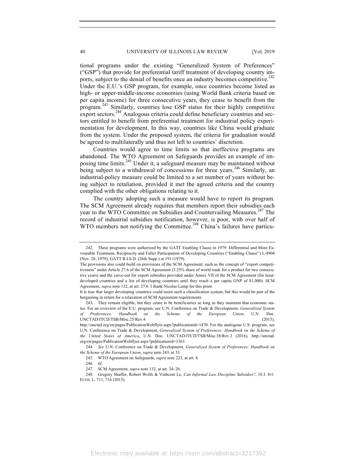tional programs under the existing "Generalized System of Preferences" ("GSP") that provide for preferential tariff treatment of developing country imports, subject to the denial of benefits once an industry becomes competitive.<sup>242</sup> Under the E.U.'s GSP program, for example, once countries become listed as high- or upper-middle-income economies (using World Bank criteria based on per capita income) for three consecutive years, they cease to benefit from the program.<sup>243</sup> Similarly, countries lose GSP status for their highly competitive export sectors.<sup>244</sup> Analogous criteria could define beneficiary countries and sectors entitled to benefit from preferential treatment for industrial policy experimentation for development. In this way, countries like China would graduate from the system. Under the proposed system, the criteria for graduation would be agreed to multilaterally and thus not left to countries' discretion.

Countries would agree to time limits so that ineffective programs are abandoned. The WTO Agreement on Safeguards provides an example of imposing time limits.<sup>245</sup> Under it, a safeguard measure may be maintained without being subject to a withdrawal of concessions for three years.<sup>246</sup> Similarly, an industrial-policy measure could be limited to a set number of years without being subject to retaliation, provided it met the agreed criteria and the country complied with the other obligations relating to it.

The country adopting such a measure would have to report its program. The SCM Agreement already requires that members report their subsidies each year to the WTO Committee on Subsidies and Countervailing Measures.<sup>247</sup> The record of industrial subsidies notification, however, is poor, with over half of WTO members not notifying the Committee.<sup>248</sup> China's failures have particu-

244*. See* U.N. Conference on Trade & Development, *Generalized System of Preferences: Handbook on the Scheme of the European Union*, *supra* note 243, at 33.

<sup>242.</sup> These programs were authorized by the GATT Enabling Clause in 1979. Differential and More Favourable Treatment, Reciprocity and Fuller Participation of Developing Countries ("Enabling Clause") L/4904 (Nov. 28, 1979), GATT B.I.S.D. (26th Supp.) at 191 (1979).

The provisions also could build on provisions of the SCM Agreement, such as the concept of "export competitiveness" under Article 27.6 of the SCM Agreement (3.25% share of world trade for a product for two consecutive years) and the carve-out for export subsidies provided under Annex VII of the SCM Agreement (for leastdeveloped countries and a list of developing countries until they reach a per capita GNP of \$1,000). SCM Agreement, *supra* note 132, at art. 27.6. I thank Nicolas Lamp for this point.

It is true that larger developing countries could resist such a classification system, but this would be part of the bargaining in return for a relaxation of SCM Agreement requirements.

<sup>243</sup>**.** They remain eligible, but they cease to be beneficiaries so long as they maintain that economic status. For an overview of the E.U. program, see U.N. Conference on Trade & Development, *Generalized System of Preferences: Handbook on the Scheme of the European Union*, U.N. Doc. UNCTAD/ITCD/TSB/Misc.25/Rev.4 (2015),

http://unctad.org/en/pages/PublicationWebflyer.aspx?publicationid=1470. For the analogous U.S. program, see U.N. Conference on Trade & Development, *Generalized System of Preferences: Handbook on the Scheme of the United States of America*, U.N. Doc. UNCTAD/ITCD/TSB/Misc.58/Rev.3 (2016), http://unctad. org/en/pages/PublicationWebflyer.aspx?publicationid=1563.

<sup>245.</sup> WTO Agreement on Safeguards, *supra* note 223, at art. 8.

<sup>246.</sup> *Id.*

<sup>247.</sup> SCM Agreement, *supra* note 132, at art. 24–26.

<sup>248.</sup> Gregory Shaffer, Robert Wolfe & Vinhcent Le, *Can Informal Law Discipline Subsidies?*, 18 J. INT. ECON. L. 711, 716 (2015).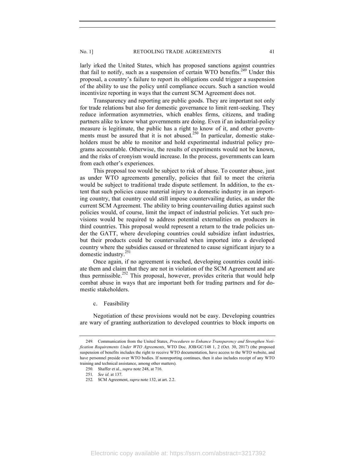larly irked the United States, which has proposed sanctions against countries that fail to notify, such as a suspension of certain WTO benefits.<sup>249</sup> Under this proposal, a country's failure to report its obligations could trigger a suspension of the ability to use the policy until compliance occurs. Such a sanction would incentivize reporting in ways that the current SCM Agreement does not.

Transparency and reporting are public goods. They are important not only for trade relations but also for domestic governance to limit rent-seeking. They reduce information asymmetries, which enables firms, citizens, and trading partners alike to know what governments are doing. Even if an industrial-policy measure is legitimate, the public has a right to know of it, and other governments must be assured that it is not abused.<sup>250</sup> In particular, domestic stakeholders must be able to monitor and hold experimental industrial policy programs accountable. Otherwise, the results of experiments would not be known, and the risks of cronyism would increase. In the process, governments can learn from each other's experiences.

This proposal too would be subject to risk of abuse. To counter abuse, just as under WTO agreements generally, policies that fail to meet the criteria would be subject to traditional trade dispute settlement. In addition, to the extent that such policies cause material injury to a domestic industry in an importing country, that country could still impose countervailing duties, as under the current SCM Agreement. The ability to bring countervailing duties against such policies would, of course, limit the impact of industrial policies. Yet such provisions would be required to address potential externalities on producers in third countries. This proposal would represent a return to the trade policies under the GATT, where developing countries could subsidize infant industries, but their products could be countervailed when imported into a developed country where the subsidies caused or threatened to cause significant injury to a domestic industry.251

Once again, if no agreement is reached, developing countries could initiate them and claim that they are not in violation of the SCM Agreement and are thus permissible.<sup>252</sup> This proposal, however, provides criteria that would help combat abuse in ways that are important both for trading partners and for domestic stakeholders.

c. Feasibility

Negotiation of these provisions would not be easy. Developing countries are wary of granting authorization to developed countries to block imports on

<sup>249.</sup> Communication from the United States, *Procedures to Enhance Transparency and Strengthen Notification Requirements Under WTO Agreements*, WTO Doc. JOB/GC/148 1, 2 (Oct. 30, 2017) (the proposed suspension of benefits includes the right to receive WTO documentation, have access to the WTO website, and have personnel preside over WTO bodies. If nonreporting continues, then it also includes receipt of any WTO training and technical assistance, among other matters).

<sup>250.</sup> Shaffer et al., *supra* note 248, at 716.

<sup>251</sup>*. See id.* at 137.

<sup>252.</sup> SCM Agreement, *supra* note 132, at art. 2.2.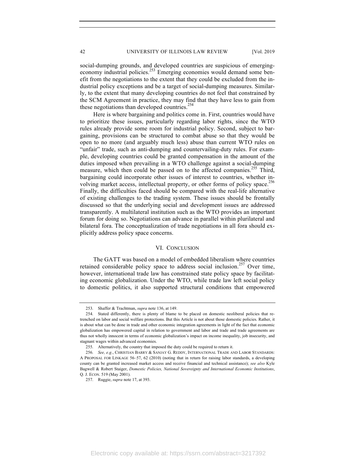social-dumping grounds, and developed countries are suspicious of emergingeconomy industrial policies.<sup>253</sup> Emerging economies would demand some benefit from the negotiations to the extent that they could be excluded from the industrial policy exceptions and be a target of social-dumping measures. Similarly, to the extent that many developing countries do not feel that constrained by the SCM Agreement in practice, they may find that they have less to gain from these negotiations than developed countries.<sup>254</sup>

Here is where bargaining and politics come in. First, countries would have to prioritize these issues, particularly regarding labor rights, since the WTO rules already provide some room for industrial policy. Second, subject to bargaining, provisions can be structured to combat abuse so that they would be open to no more (and arguably much less) abuse than current WTO rules on "unfair" trade, such as anti-dumping and countervailing-duty rules. For example, developing countries could be granted compensation in the amount of the duties imposed when prevailing in a WTO challenge against a social-dumping measure, which then could be passed on to the affected companies.<sup>255</sup> Third, bargaining could incorporate other issues of interest to countries, whether involving market access, intellectual property, or other forms of policy space.<sup>256</sup> Finally, the difficulties faced should be compared with the real-life alternative of existing challenges to the trading system. These issues should be frontally discussed so that the underlying social and development issues are addressed transparently. A multilateral institution such as the WTO provides an important forum for doing so. Negotiations can advance in parallel within plurilateral and bilateral fora. The conceptualization of trade negotiations in all fora should explicitly address policy space concerns.

# VI. CONCLUSION

The GATT was based on a model of embedded liberalism where countries retained considerable policy space to address social inclusion.<sup>257</sup> Over time, however, international trade law has constrained state policy space by facilitating economic globalization. Under the WTO, while trade law left social policy to domestic politics, it also supported structural conditions that empowered

<sup>253.</sup> Shaffer & Trachtman, *supra* note 136, at 149.

<sup>254.</sup> Stated differently, there is plenty of blame to be placed on domestic neoliberal policies that retrenched on labor and social welfare protections. But this Article is not about those domestic policies. Rather, it is about what can be done in trade and other economic integration agreements in light of the fact that economic globalization has empowered capital in relation to government and labor and trade and trade agreements are thus not wholly innocent in terms of economic globalization's impact on income inequality, job insecurity, and stagnant wages within advanced economies.

<sup>255.</sup> Alternatively, the country that imposed the duty could be required to return it.

<sup>256.</sup> *See, e.g.*, CHRISTIAN BARRY & SANJAY G. REDDY, INTERNATIONAL TRADE AND LABOR STANDARDS: A PROPOSAL FOR LINKAGE 56–57, 62 (2010) (noting that in return for raising labor standards, a developing county can be granted increased market access and receive financial and technical assistance); *see also* Kyle Bagwell & Robert Staiger, *Domestic Policies, National Sovereignty and International Economic Institutions*, Q. J. ECON. 519 (May 2001).

<sup>257.</sup> Ruggie, *supra* note 17, at 393.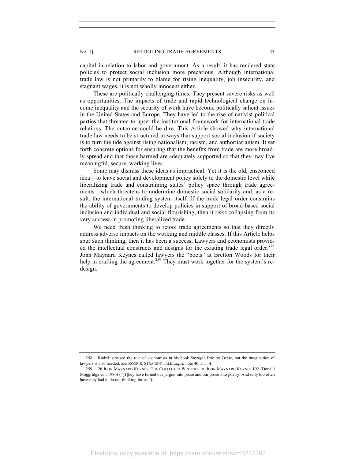capital in relation to labor and government. As a result, it has rendered state policies to protect social inclusion more precarious. Although international trade law is not primarily to blame for rising inequality, job insecurity, and stagnant wages, it is not wholly innocent either.

These are politically challenging times. They present severe risks as well as opportunities. The impacts of trade and rapid technological change on income inequality and the security of work have become politically salient issues in the United States and Europe. They have led to the rise of nativist political parties that threaten to upset the institutional framework for international trade relations. The outcome could be dire. This Article showed why international trade law needs to be structured in ways that support social inclusion if society is to turn the tide against rising nationalism, racism, and authoritarianism. It set forth concrete options for ensuring that the benefits from trade are more broadly spread and that those harmed are adequately supported so that they may live meaningful, secure, working lives.

Some may dismiss these ideas as impractical. Yet it is the old, ensconced idea—to leave social and development policy solely to the domestic level while liberalizing trade and constraining states' policy space through trade agreements—which threatens to undermine domestic social solidarity and, as a result, the international trading system itself. If the trade legal order constrains the ability of governments to develop policies in support of broad-based social inclusion and individual and social flourishing, then it risks collapsing from its very success in promoting liberalized trade.

We need fresh thinking to retool trade agreements so that they directly address adverse impacts on the working and middle classes. If this Article helps spur such thinking, then it has been a success. Lawyers and economists provided the intellectual constructs and designs for the existing trade legal order.<sup>258</sup> John Maynard Keynes called lawyers the "poets" at Bretton Woods for their help in crafting the agreement.<sup>259</sup> They must work together for the system's redesign.

<sup>258.</sup> Rodrik stressed the role of economists in his book *Straight Talk on Trade*, but the imagination of lawyers is also needed. *See* RODRIK, STRAIGHT TALK, *supra* note 40, at 114.

<sup>259.</sup> 26 JOHN MAYNARD KEYNES, THE COLLECTED WRITINGS OF JOHN MAYNARD KEYNES 102 (Donald Moggridge ed., 1980) ("[T]hey have turned our jargon into prose and our prose into poetry. And only too often have they had to do our thinking for us.").